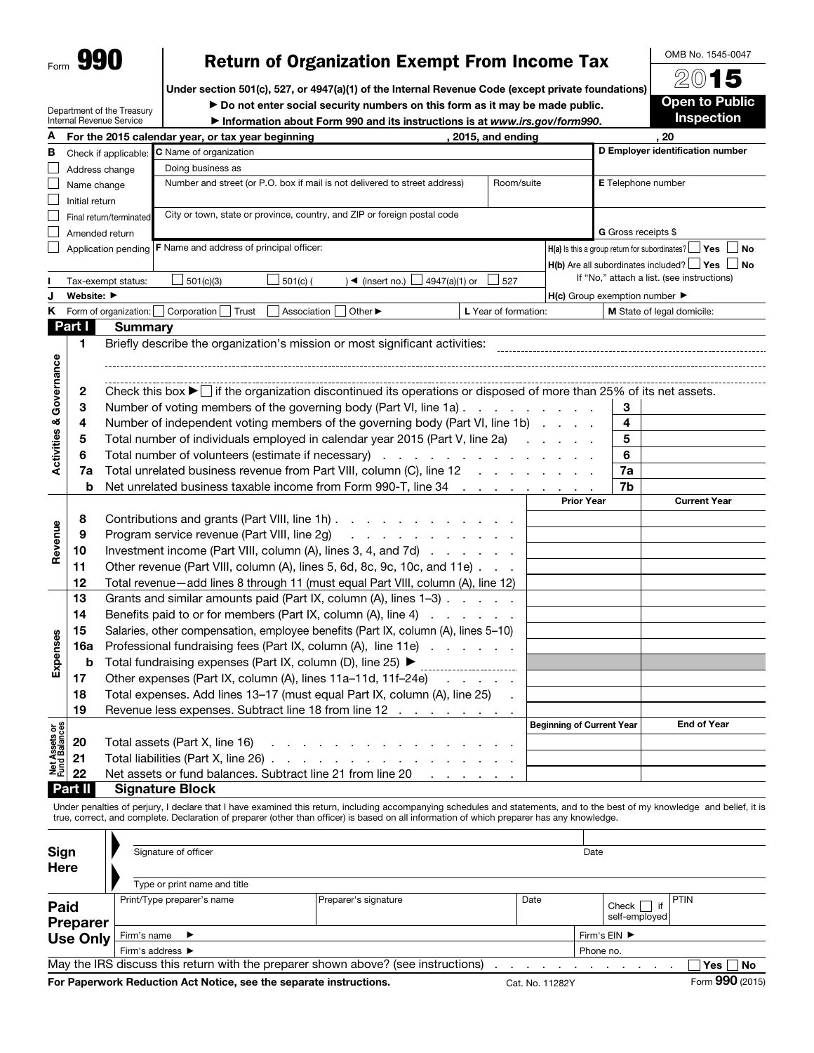| Form | a i<br>١ |
|------|----------|
|      |          |

## Return of Organization Exempt From Income Tax

Under section 501(c), 527, or 4947(a)(1) of the Internal Revenue Code (except private foundations)

Department of the Treasury Internal Revenue Service

▶ Do not enter social security numbers on this form as it may be made public. ▶ Information about Form 990 and its instructions is at *www.irs.gov/form990*.

| ÆWTƏ                  |
|-----------------------|
| <b>Open to Public</b> |
| <b>Inspection</b>     |

OMB No. 1545-0047  $\overline{\circ}$ 

| А                              |                |                         | 2015, and ending<br>For the 2015 calendar year, or tax year beginning                                                                     |                                                     |                                  | 20                                                                 |  |  |  |  |  |
|--------------------------------|----------------|-------------------------|-------------------------------------------------------------------------------------------------------------------------------------------|-----------------------------------------------------|----------------------------------|--------------------------------------------------------------------|--|--|--|--|--|
| в                              |                | Check if applicable:    | C Name of organization                                                                                                                    |                                                     | D Employer identification number |                                                                    |  |  |  |  |  |
|                                |                | Address change          | Doing business as                                                                                                                         |                                                     |                                  |                                                                    |  |  |  |  |  |
|                                | Name change    |                         | Number and street (or P.O. box if mail is not delivered to street address)<br>Room/suite                                                  |                                                     | E Telephone number               |                                                                    |  |  |  |  |  |
|                                | Initial return |                         |                                                                                                                                           |                                                     |                                  |                                                                    |  |  |  |  |  |
|                                |                | Final return/terminated | City or town, state or province, country, and ZIP or foreign postal code                                                                  |                                                     |                                  |                                                                    |  |  |  |  |  |
|                                |                | Amended return          |                                                                                                                                           |                                                     | G Gross receipts \$              |                                                                    |  |  |  |  |  |
|                                |                |                         | Application pending   F Name and address of principal officer:                                                                            |                                                     |                                  | $H(a)$ is this a group return for subordinates? $L$<br>⊿ Yes<br>No |  |  |  |  |  |
|                                |                |                         |                                                                                                                                           |                                                     |                                  | $H(b)$ Are all subordinates included? $\Box$ Yes $\Box$ No         |  |  |  |  |  |
|                                |                | Tax-exempt status:      | ) ◀ (insert no.) $\Box$ 4947(a)(1) or<br>501(c)(3)<br>$501(c)$ (<br>527                                                                   |                                                     |                                  | If "No," attach a list. (see instructions)                         |  |  |  |  |  |
|                                | Website: ▶     |                         |                                                                                                                                           | $H(c)$ Group exemption number $\blacktriangleright$ |                                  |                                                                    |  |  |  |  |  |
| Κ                              |                | Form of organization:   | Corporation<br>Trust<br>Association<br>Other ▶<br>L Year of formation:                                                                    |                                                     |                                  | M State of legal domicile:                                         |  |  |  |  |  |
|                                | Part I         | <b>Summary</b>          |                                                                                                                                           |                                                     |                                  |                                                                    |  |  |  |  |  |
|                                | $\blacksquare$ |                         | Briefly describe the organization's mission or most significant activities:                                                               |                                                     |                                  |                                                                    |  |  |  |  |  |
|                                |                |                         |                                                                                                                                           |                                                     |                                  |                                                                    |  |  |  |  |  |
| Activities & Governance        |                |                         |                                                                                                                                           |                                                     |                                  |                                                                    |  |  |  |  |  |
|                                | 2              |                         | Check this box $\blacktriangleright$ if the organization discontinued its operations or disposed of more than 25% of its net assets.      |                                                     |                                  |                                                                    |  |  |  |  |  |
|                                | 3              |                         | Number of voting members of the governing body (Part VI, line 1a)                                                                         |                                                     | 3                                |                                                                    |  |  |  |  |  |
|                                | 4              |                         | Number of independent voting members of the governing body (Part VI, line 1b)                                                             |                                                     | 4                                |                                                                    |  |  |  |  |  |
|                                | 5              |                         | Total number of individuals employed in calendar year 2015 (Part V, line 2a)                                                              | and the company of the company of                   | 5                                |                                                                    |  |  |  |  |  |
|                                | 6              |                         | Total number of volunteers (estimate if necessary)                                                                                        |                                                     | 6                                |                                                                    |  |  |  |  |  |
|                                | 7a             |                         | Total unrelated business revenue from Part VIII, column (C), line 12                                                                      | 7a                                                  |                                  |                                                                    |  |  |  |  |  |
|                                | b              |                         | Net unrelated business taxable income from Form 990-T, line 34                                                                            |                                                     | 7b                               |                                                                    |  |  |  |  |  |
|                                |                |                         |                                                                                                                                           | <b>Prior Year</b>                                   |                                  | <b>Current Year</b>                                                |  |  |  |  |  |
|                                | 8              |                         | Contributions and grants (Part VIII, line 1h)                                                                                             |                                                     |                                  |                                                                    |  |  |  |  |  |
|                                | 9              |                         | Program service revenue (Part VIII, line 2g)<br>.                                                                                         |                                                     |                                  |                                                                    |  |  |  |  |  |
| Revenue                        | 10             |                         | Investment income (Part VIII, column (A), lines 3, 4, and 7d)                                                                             |                                                     |                                  |                                                                    |  |  |  |  |  |
|                                | 11             |                         | Other revenue (Part VIII, column (A), lines 5, 6d, 8c, 9c, 10c, and 11e)                                                                  |                                                     |                                  |                                                                    |  |  |  |  |  |
|                                | 12             |                         | Total revenue-add lines 8 through 11 (must equal Part VIII, column (A), line 12)                                                          |                                                     |                                  |                                                                    |  |  |  |  |  |
|                                | 13             |                         | Grants and similar amounts paid (Part IX, column (A), lines 1-3)                                                                          |                                                     |                                  |                                                                    |  |  |  |  |  |
|                                | 14             |                         | Benefits paid to or for members (Part IX, column (A), line 4)                                                                             |                                                     |                                  |                                                                    |  |  |  |  |  |
|                                | 15             |                         | Salaries, other compensation, employee benefits (Part IX, column (A), lines 5-10)                                                         |                                                     |                                  |                                                                    |  |  |  |  |  |
|                                | 16a            |                         | Professional fundraising fees (Part IX, column (A), line 11e)                                                                             |                                                     |                                  |                                                                    |  |  |  |  |  |
| Expenses                       | b              |                         | Total fundraising expenses (Part IX, column (D), line 25) ▶<br>____________________                                                       |                                                     |                                  |                                                                    |  |  |  |  |  |
|                                | 17             |                         | Other expenses (Part IX, column (A), lines 11a-11d, 11f-24e)<br>and a state of the                                                        |                                                     |                                  |                                                                    |  |  |  |  |  |
|                                | 18             |                         | Total expenses. Add lines 13-17 (must equal Part IX, column (A), line 25)                                                                 |                                                     |                                  |                                                                    |  |  |  |  |  |
|                                | 19             |                         | Revenue less expenses. Subtract line 18 from line 12                                                                                      |                                                     |                                  |                                                                    |  |  |  |  |  |
|                                |                |                         |                                                                                                                                           | <b>Beginning of Current Year</b>                    |                                  | <b>End of Year</b>                                                 |  |  |  |  |  |
| Net Assets or<br>Fund Balances | 20             |                         | Total assets (Part X, line 16)<br>design and a state of the state of                                                                      |                                                     |                                  |                                                                    |  |  |  |  |  |
|                                | 21             |                         | Total liabilities (Part X, line 26)                                                                                                       |                                                     |                                  |                                                                    |  |  |  |  |  |
|                                | 22             |                         | Net assets or fund balances. Subtract line 21 from line 20<br>and the company of the                                                      |                                                     |                                  |                                                                    |  |  |  |  |  |
|                                | <b>Part II</b> |                         | <b>Signature Block</b>                                                                                                                    |                                                     |                                  |                                                                    |  |  |  |  |  |
|                                |                |                         | Under penalties of perium Udeolars that Ubays examined this return, including assessmenting schoolules and statements, and to the best of |                                                     |                                  |                                                                    |  |  |  |  |  |

Under penalties of perjury, I declare that I have examined this return, including accompanying schedules and statements, and to the best of my knowledge and true, correct, and complete. Declaration of preparer (other than officer) is based on all information of which preparer has any knowledge.

| Sign<br>Here            | Signature of officer                                                              | Date                 |                 |  |                        |                 |
|-------------------------|-----------------------------------------------------------------------------------|----------------------|-----------------|--|------------------------|-----------------|
|                         | Type or print name and title                                                      |                      |                 |  |                        |                 |
| Paid<br><b>Preparer</b> | Print/Type preparer's name                                                        | Preparer's signature | Date            |  | Check<br>self-emploved | PTIN            |
| <b>Use Only</b>         | Firm's name $\blacktriangleright$                                                 | Firm's EIN ▶         |                 |  |                        |                 |
|                         | Firm's address $\blacktriangleright$                                              | Phone no.            |                 |  |                        |                 |
|                         | May the IRS discuss this return with the preparer shown above? (see instructions) |                      |                 |  |                        | Yes ∏ No        |
|                         | For Paperwork Reduction Act Notice, see the separate instructions.                |                      | Cat. No. 11282Y |  |                        | Form 990 (2015) |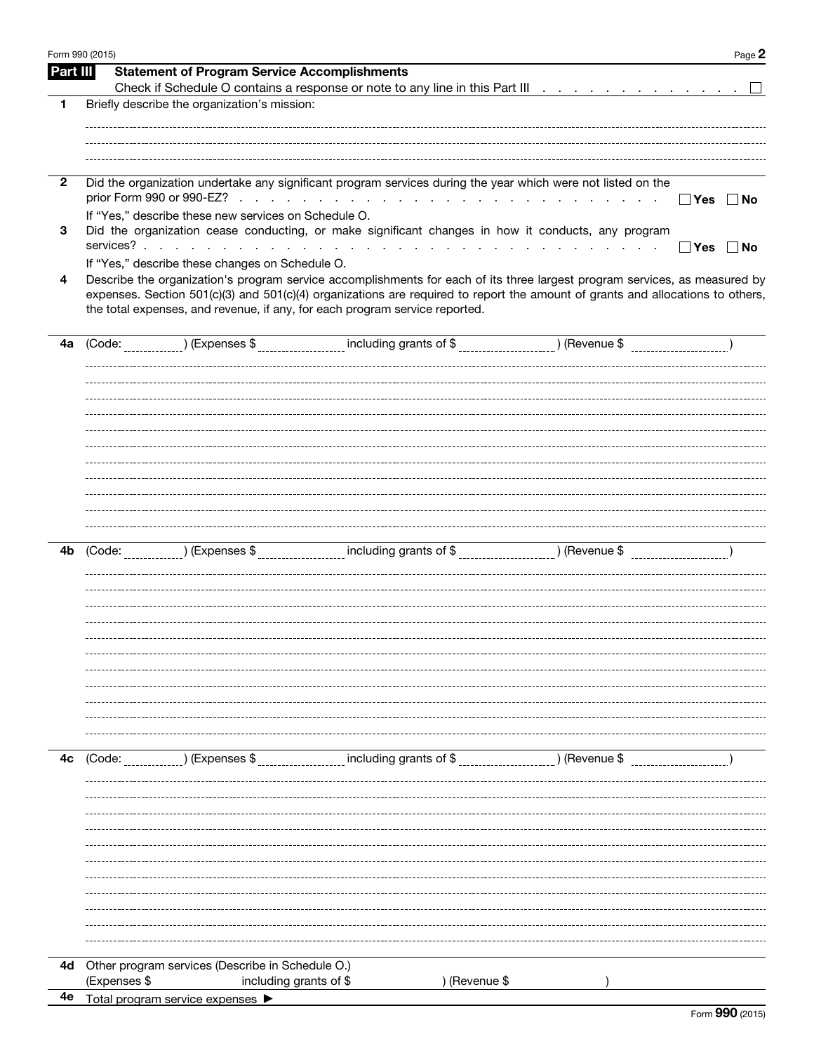| Form 990 (2015) | Page 2                                                                                                                               |
|-----------------|--------------------------------------------------------------------------------------------------------------------------------------|
| Part III        | <b>Statement of Program Service Accomplishments</b>                                                                                  |
|                 |                                                                                                                                      |
| 1               | Briefly describe the organization's mission:                                                                                         |
|                 |                                                                                                                                      |
|                 |                                                                                                                                      |
|                 |                                                                                                                                      |
| $\overline{2}$  | Did the organization undertake any significant program services during the year which were not listed on the                         |
|                 | and the control<br>$\Box$ Yes $\Box$ No                                                                                              |
|                 | If "Yes," describe these new services on Schedule O.                                                                                 |
| 3               | Did the organization cease conducting, or make significant changes in how it conducts, any program                                   |
|                 | $\Box$ Yes<br>∣ No                                                                                                                   |
|                 | If "Yes," describe these changes on Schedule O.                                                                                      |
| 4               | Describe the organization's program service accomplishments for each of its three largest program services, as measured by           |
|                 | expenses. Section 501(c)(3) and 501(c)(4) organizations are required to report the amount of grants and allocations to others,       |
|                 | the total expenses, and revenue, if any, for each program service reported.                                                          |
|                 |                                                                                                                                      |
| 4a              | (Code: _____________) (Expenses \$ ___________________ including grants of \$ __________________) (Revenue \$ _____________________) |
|                 |                                                                                                                                      |
|                 |                                                                                                                                      |
|                 |                                                                                                                                      |
|                 |                                                                                                                                      |
|                 |                                                                                                                                      |
|                 |                                                                                                                                      |
|                 |                                                                                                                                      |
|                 |                                                                                                                                      |
|                 |                                                                                                                                      |
|                 |                                                                                                                                      |
|                 |                                                                                                                                      |
| 4b              | (Code: _____________) (Expenses \$ __________________ including grants of \$ __________________) (Revenue \$ _____________________)  |
|                 |                                                                                                                                      |
|                 |                                                                                                                                      |
|                 |                                                                                                                                      |
|                 |                                                                                                                                      |
|                 |                                                                                                                                      |
|                 |                                                                                                                                      |
|                 |                                                                                                                                      |
|                 |                                                                                                                                      |
|                 |                                                                                                                                      |
|                 |                                                                                                                                      |
|                 |                                                                                                                                      |
| 4c              | including grants of \$<br>) (Revenue \$                                                                                              |
|                 | ) (Expenses \$<br>(Code:                                                                                                             |
|                 |                                                                                                                                      |
|                 |                                                                                                                                      |
|                 |                                                                                                                                      |
|                 |                                                                                                                                      |
|                 |                                                                                                                                      |
|                 |                                                                                                                                      |
|                 |                                                                                                                                      |
|                 |                                                                                                                                      |
|                 |                                                                                                                                      |
|                 |                                                                                                                                      |
|                 |                                                                                                                                      |
| 4d              | Other program services (Describe in Schedule O.)                                                                                     |
|                 | (Expenses \$<br>including grants of \$<br>) (Revenue \$                                                                              |
| 4e              | Total program service expenses ▶                                                                                                     |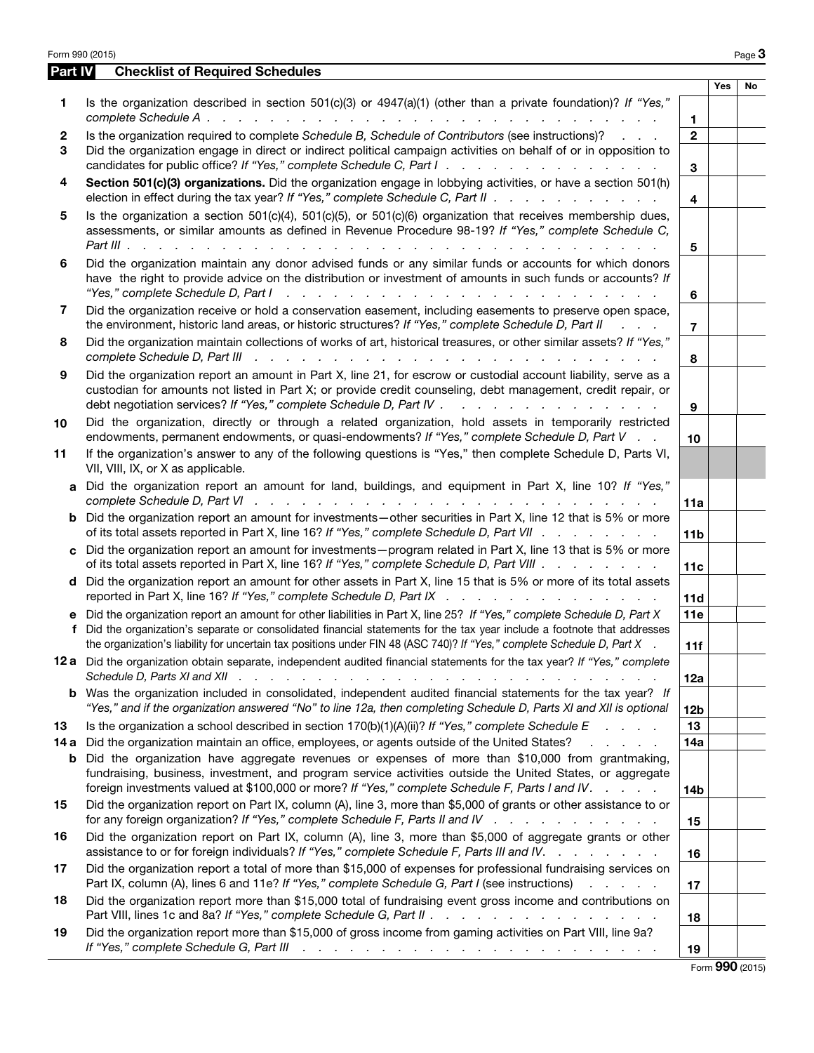| Is the organization described in section 501(c)(3) or 4947(a)(1) (other than a private foundation)? If "Yes,"<br>1<br>1<br>Is the organization required to complete Schedule B, Schedule of Contributors (see instructions)?<br>$\mathbf{2}$<br>$\mathbf{2}$<br>Did the organization engage in direct or indirect political campaign activities on behalf of or in opposition to<br>3<br>candidates for public office? If "Yes," complete Schedule C, Part I.<br>3<br>Section 501(c)(3) organizations. Did the organization engage in lobbying activities, or have a section 501(h)<br>4<br>election in effect during the tax year? If "Yes," complete Schedule C, Part II<br>4<br>Is the organization a section $501(c)(4)$ , $501(c)(5)$ , or $501(c)(6)$ organization that receives membership dues,<br>5<br>assessments, or similar amounts as defined in Revenue Procedure 98-19? If "Yes," complete Schedule C,<br>5<br>Did the organization maintain any donor advised funds or any similar funds or accounts for which donors<br>6<br>have the right to provide advice on the distribution or investment of amounts in such funds or accounts? If<br>"Yes," complete Schedule D, Part I<br>المتعاون والمتعاون والمتعاون والمتعاون والمتعاون والمتعاون والمتعاون والمتعاون والمتعاون والمتعاون<br>6<br>Did the organization receive or hold a conservation easement, including easements to preserve open space,<br>7<br>the environment, historic land areas, or historic structures? If "Yes," complete Schedule D, Part II<br>$\mathcal{L}$ and $\mathcal{L}$<br>$\overline{7}$<br>Did the organization maintain collections of works of art, historical treasures, or other similar assets? If "Yes,"<br>8<br>complete Schedule D, Part III recent recent recent recent recent recent recent recent recent recent recent recent<br>8<br>Did the organization report an amount in Part X, line 21, for escrow or custodial account liability, serve as a<br>9<br>custodian for amounts not listed in Part X; or provide credit counseling, debt management, credit repair, or<br>debt negotiation services? If "Yes," complete Schedule D, Part IV .<br>and the contract of the contract of the<br>9<br>Did the organization, directly or through a related organization, hold assets in temporarily restricted<br>10<br>endowments, permanent endowments, or quasi-endowments? If "Yes," complete Schedule D, Part V<br>10<br>If the organization's answer to any of the following questions is "Yes," then complete Schedule D, Parts VI,<br>11<br>VII, VIII, IX, or X as applicable.<br>Did the organization report an amount for land, buildings, and equipment in Part X, line 10? If "Yes,"<br>a<br>11a<br>Did the organization report an amount for investments—other securities in Part X, line 12 that is 5% or more<br>b<br>of its total assets reported in Part X, line 16? If "Yes," complete Schedule D, Part VII<br>11 <sub>b</sub><br>Did the organization report an amount for investments-program related in Part X, line 13 that is 5% or more<br>C.<br>of its total assets reported in Part X, line 16? If "Yes," complete Schedule D, Part VIII<br>11c<br>Did the organization report an amount for other assets in Part X, line 15 that is 5% or more of its total assets<br>d<br>reported in Part X, line 16? If "Yes," complete Schedule D, Part IX<br>11d<br>Did the organization report an amount for other liabilities in Part X, line 25? If "Yes," complete Schedule D, Part X<br>11e<br>е<br>Did the organization's separate or consolidated financial statements for the tax year include a footnote that addresses<br>f<br>the organization's liability for uncertain tax positions under FIN 48 (ASC 740)? If "Yes," complete Schedule D, Part X<br>11f<br>12 a Did the organization obtain separate, independent audited financial statements for the tax year? If "Yes," complete<br>12a<br><b>b</b> Was the organization included in consolidated, independent audited financial statements for the tax year? If<br>"Yes," and if the organization answered "No" to line 12a, then completing Schedule D, Parts XI and XII is optional<br>12 <sub>b</sub><br>13<br>Is the organization a school described in section $170(b)(1)(A)(ii)?$ If "Yes," complete Schedule E<br>13<br>Did the organization maintain an office, employees, or agents outside of the United States?<br>14a<br>14 a<br>and the company of the company<br>Did the organization have aggregate revenues or expenses of more than \$10,000 from grantmaking,<br>b<br>fundraising, business, investment, and program service activities outside the United States, or aggregate<br>foreign investments valued at \$100,000 or more? If "Yes," complete Schedule F, Parts I and IV.<br><b>14b</b><br>Did the organization report on Part IX, column (A), line 3, more than \$5,000 of grants or other assistance to or<br>15<br>for any foreign organization? If "Yes," complete Schedule F, Parts II and IV $\ldots$<br>15<br>Did the organization report on Part IX, column (A), line 3, more than \$5,000 of aggregate grants or other<br>16<br>assistance to or for foreign individuals? If "Yes," complete Schedule F, Parts III and IV.<br>16<br>Did the organization report a total of more than \$15,000 of expenses for professional fundraising services on<br>17<br>Part IX, column (A), lines 6 and 11e? If "Yes," complete Schedule G, Part I (see instructions)<br>17<br>Did the organization report more than \$15,000 total of fundraising event gross income and contributions on<br>18 |     |    |
|-------------------------------------------------------------------------------------------------------------------------------------------------------------------------------------------------------------------------------------------------------------------------------------------------------------------------------------------------------------------------------------------------------------------------------------------------------------------------------------------------------------------------------------------------------------------------------------------------------------------------------------------------------------------------------------------------------------------------------------------------------------------------------------------------------------------------------------------------------------------------------------------------------------------------------------------------------------------------------------------------------------------------------------------------------------------------------------------------------------------------------------------------------------------------------------------------------------------------------------------------------------------------------------------------------------------------------------------------------------------------------------------------------------------------------------------------------------------------------------------------------------------------------------------------------------------------------------------------------------------------------------------------------------------------------------------------------------------------------------------------------------------------------------------------------------------------------------------------------------------------------------------------------------------------------------------------------------------------------------------------------------------------------------------------------------------------------------------------------------------------------------------------------------------------------------------------------------------------------------------------------------------------------------------------------------------------------------------------------------------------------------------------------------------------------------------------------------------------------------------------------------------------------------------------------------------------------------------------------------------------------------------------------------------------------------------------------------------------------------------------------------------------------------------------------------------------------------------------------------------------------------------------------------------------------------------------------------------------------------------------------------------------------------------------------------------------------------------------------------------------------------------------------------------------------------------------------------------------------------------------------------------------------------------------------------------------------------------------------------------------------------------------------------------------------------------------------------------------------------------------------------------------------------------------------------------------------------------------------------------------------------------------------------------------------------------------------------------------------------------------------------------------------------------------------------------------------------------------------------------------------------------------------------------------------------------------------------------------------------------------------------------------------------------------------------------------------------------------------------------------------------------------------------------------------------------------------------------------------------------------------------------------------------------------------------------------------------------------------------------------------------------------------------------------------------------------------------------------------------------------------------------------------------------------------------------------------------------------------------------------------------------------------------------------------------------------------------------------------------------------------------------------------------------------------------------------------------------------------------------------------------------------------------------------------------------------------------------------------------------------------------------------------------------------------------------------------------------------------------------------------------------------------------------------------------------------------------------------------------------------------------------------------------------------------------------------------------------------------------------------------------------------------------------------------------------------------------------------------------------------------------------------------------------------------------------------------------------------------------------------|-----|----|
|                                                                                                                                                                                                                                                                                                                                                                                                                                                                                                                                                                                                                                                                                                                                                                                                                                                                                                                                                                                                                                                                                                                                                                                                                                                                                                                                                                                                                                                                                                                                                                                                                                                                                                                                                                                                                                                                                                                                                                                                                                                                                                                                                                                                                                                                                                                                                                                                                                                                                                                                                                                                                                                                                                                                                                                                                                                                                                                                                                                                                                                                                                                                                                                                                                                                                                                                                                                                                                                                                                                                                                                                                                                                                                                                                                                                                                                                                                                                                                                                                                                                                                                                                                                                                                                                                                                                                                                                                                                                                                                                                                                                                                                                                                                                                                                                                                                                                                                                                                                                                                                                                                                                                                                                                                                                                                                                                                                                                                                                                                                                                                                                                         | Yes | No |
|                                                                                                                                                                                                                                                                                                                                                                                                                                                                                                                                                                                                                                                                                                                                                                                                                                                                                                                                                                                                                                                                                                                                                                                                                                                                                                                                                                                                                                                                                                                                                                                                                                                                                                                                                                                                                                                                                                                                                                                                                                                                                                                                                                                                                                                                                                                                                                                                                                                                                                                                                                                                                                                                                                                                                                                                                                                                                                                                                                                                                                                                                                                                                                                                                                                                                                                                                                                                                                                                                                                                                                                                                                                                                                                                                                                                                                                                                                                                                                                                                                                                                                                                                                                                                                                                                                                                                                                                                                                                                                                                                                                                                                                                                                                                                                                                                                                                                                                                                                                                                                                                                                                                                                                                                                                                                                                                                                                                                                                                                                                                                                                                                         |     |    |
|                                                                                                                                                                                                                                                                                                                                                                                                                                                                                                                                                                                                                                                                                                                                                                                                                                                                                                                                                                                                                                                                                                                                                                                                                                                                                                                                                                                                                                                                                                                                                                                                                                                                                                                                                                                                                                                                                                                                                                                                                                                                                                                                                                                                                                                                                                                                                                                                                                                                                                                                                                                                                                                                                                                                                                                                                                                                                                                                                                                                                                                                                                                                                                                                                                                                                                                                                                                                                                                                                                                                                                                                                                                                                                                                                                                                                                                                                                                                                                                                                                                                                                                                                                                                                                                                                                                                                                                                                                                                                                                                                                                                                                                                                                                                                                                                                                                                                                                                                                                                                                                                                                                                                                                                                                                                                                                                                                                                                                                                                                                                                                                                                         |     |    |
|                                                                                                                                                                                                                                                                                                                                                                                                                                                                                                                                                                                                                                                                                                                                                                                                                                                                                                                                                                                                                                                                                                                                                                                                                                                                                                                                                                                                                                                                                                                                                                                                                                                                                                                                                                                                                                                                                                                                                                                                                                                                                                                                                                                                                                                                                                                                                                                                                                                                                                                                                                                                                                                                                                                                                                                                                                                                                                                                                                                                                                                                                                                                                                                                                                                                                                                                                                                                                                                                                                                                                                                                                                                                                                                                                                                                                                                                                                                                                                                                                                                                                                                                                                                                                                                                                                                                                                                                                                                                                                                                                                                                                                                                                                                                                                                                                                                                                                                                                                                                                                                                                                                                                                                                                                                                                                                                                                                                                                                                                                                                                                                                                         |     |    |
|                                                                                                                                                                                                                                                                                                                                                                                                                                                                                                                                                                                                                                                                                                                                                                                                                                                                                                                                                                                                                                                                                                                                                                                                                                                                                                                                                                                                                                                                                                                                                                                                                                                                                                                                                                                                                                                                                                                                                                                                                                                                                                                                                                                                                                                                                                                                                                                                                                                                                                                                                                                                                                                                                                                                                                                                                                                                                                                                                                                                                                                                                                                                                                                                                                                                                                                                                                                                                                                                                                                                                                                                                                                                                                                                                                                                                                                                                                                                                                                                                                                                                                                                                                                                                                                                                                                                                                                                                                                                                                                                                                                                                                                                                                                                                                                                                                                                                                                                                                                                                                                                                                                                                                                                                                                                                                                                                                                                                                                                                                                                                                                                                         |     |    |
|                                                                                                                                                                                                                                                                                                                                                                                                                                                                                                                                                                                                                                                                                                                                                                                                                                                                                                                                                                                                                                                                                                                                                                                                                                                                                                                                                                                                                                                                                                                                                                                                                                                                                                                                                                                                                                                                                                                                                                                                                                                                                                                                                                                                                                                                                                                                                                                                                                                                                                                                                                                                                                                                                                                                                                                                                                                                                                                                                                                                                                                                                                                                                                                                                                                                                                                                                                                                                                                                                                                                                                                                                                                                                                                                                                                                                                                                                                                                                                                                                                                                                                                                                                                                                                                                                                                                                                                                                                                                                                                                                                                                                                                                                                                                                                                                                                                                                                                                                                                                                                                                                                                                                                                                                                                                                                                                                                                                                                                                                                                                                                                                                         |     |    |
|                                                                                                                                                                                                                                                                                                                                                                                                                                                                                                                                                                                                                                                                                                                                                                                                                                                                                                                                                                                                                                                                                                                                                                                                                                                                                                                                                                                                                                                                                                                                                                                                                                                                                                                                                                                                                                                                                                                                                                                                                                                                                                                                                                                                                                                                                                                                                                                                                                                                                                                                                                                                                                                                                                                                                                                                                                                                                                                                                                                                                                                                                                                                                                                                                                                                                                                                                                                                                                                                                                                                                                                                                                                                                                                                                                                                                                                                                                                                                                                                                                                                                                                                                                                                                                                                                                                                                                                                                                                                                                                                                                                                                                                                                                                                                                                                                                                                                                                                                                                                                                                                                                                                                                                                                                                                                                                                                                                                                                                                                                                                                                                                                         |     |    |
|                                                                                                                                                                                                                                                                                                                                                                                                                                                                                                                                                                                                                                                                                                                                                                                                                                                                                                                                                                                                                                                                                                                                                                                                                                                                                                                                                                                                                                                                                                                                                                                                                                                                                                                                                                                                                                                                                                                                                                                                                                                                                                                                                                                                                                                                                                                                                                                                                                                                                                                                                                                                                                                                                                                                                                                                                                                                                                                                                                                                                                                                                                                                                                                                                                                                                                                                                                                                                                                                                                                                                                                                                                                                                                                                                                                                                                                                                                                                                                                                                                                                                                                                                                                                                                                                                                                                                                                                                                                                                                                                                                                                                                                                                                                                                                                                                                                                                                                                                                                                                                                                                                                                                                                                                                                                                                                                                                                                                                                                                                                                                                                                                         |     |    |
|                                                                                                                                                                                                                                                                                                                                                                                                                                                                                                                                                                                                                                                                                                                                                                                                                                                                                                                                                                                                                                                                                                                                                                                                                                                                                                                                                                                                                                                                                                                                                                                                                                                                                                                                                                                                                                                                                                                                                                                                                                                                                                                                                                                                                                                                                                                                                                                                                                                                                                                                                                                                                                                                                                                                                                                                                                                                                                                                                                                                                                                                                                                                                                                                                                                                                                                                                                                                                                                                                                                                                                                                                                                                                                                                                                                                                                                                                                                                                                                                                                                                                                                                                                                                                                                                                                                                                                                                                                                                                                                                                                                                                                                                                                                                                                                                                                                                                                                                                                                                                                                                                                                                                                                                                                                                                                                                                                                                                                                                                                                                                                                                                         |     |    |
|                                                                                                                                                                                                                                                                                                                                                                                                                                                                                                                                                                                                                                                                                                                                                                                                                                                                                                                                                                                                                                                                                                                                                                                                                                                                                                                                                                                                                                                                                                                                                                                                                                                                                                                                                                                                                                                                                                                                                                                                                                                                                                                                                                                                                                                                                                                                                                                                                                                                                                                                                                                                                                                                                                                                                                                                                                                                                                                                                                                                                                                                                                                                                                                                                                                                                                                                                                                                                                                                                                                                                                                                                                                                                                                                                                                                                                                                                                                                                                                                                                                                                                                                                                                                                                                                                                                                                                                                                                                                                                                                                                                                                                                                                                                                                                                                                                                                                                                                                                                                                                                                                                                                                                                                                                                                                                                                                                                                                                                                                                                                                                                                                         |     |    |
|                                                                                                                                                                                                                                                                                                                                                                                                                                                                                                                                                                                                                                                                                                                                                                                                                                                                                                                                                                                                                                                                                                                                                                                                                                                                                                                                                                                                                                                                                                                                                                                                                                                                                                                                                                                                                                                                                                                                                                                                                                                                                                                                                                                                                                                                                                                                                                                                                                                                                                                                                                                                                                                                                                                                                                                                                                                                                                                                                                                                                                                                                                                                                                                                                                                                                                                                                                                                                                                                                                                                                                                                                                                                                                                                                                                                                                                                                                                                                                                                                                                                                                                                                                                                                                                                                                                                                                                                                                                                                                                                                                                                                                                                                                                                                                                                                                                                                                                                                                                                                                                                                                                                                                                                                                                                                                                                                                                                                                                                                                                                                                                                                         |     |    |
|                                                                                                                                                                                                                                                                                                                                                                                                                                                                                                                                                                                                                                                                                                                                                                                                                                                                                                                                                                                                                                                                                                                                                                                                                                                                                                                                                                                                                                                                                                                                                                                                                                                                                                                                                                                                                                                                                                                                                                                                                                                                                                                                                                                                                                                                                                                                                                                                                                                                                                                                                                                                                                                                                                                                                                                                                                                                                                                                                                                                                                                                                                                                                                                                                                                                                                                                                                                                                                                                                                                                                                                                                                                                                                                                                                                                                                                                                                                                                                                                                                                                                                                                                                                                                                                                                                                                                                                                                                                                                                                                                                                                                                                                                                                                                                                                                                                                                                                                                                                                                                                                                                                                                                                                                                                                                                                                                                                                                                                                                                                                                                                                                         |     |    |
|                                                                                                                                                                                                                                                                                                                                                                                                                                                                                                                                                                                                                                                                                                                                                                                                                                                                                                                                                                                                                                                                                                                                                                                                                                                                                                                                                                                                                                                                                                                                                                                                                                                                                                                                                                                                                                                                                                                                                                                                                                                                                                                                                                                                                                                                                                                                                                                                                                                                                                                                                                                                                                                                                                                                                                                                                                                                                                                                                                                                                                                                                                                                                                                                                                                                                                                                                                                                                                                                                                                                                                                                                                                                                                                                                                                                                                                                                                                                                                                                                                                                                                                                                                                                                                                                                                                                                                                                                                                                                                                                                                                                                                                                                                                                                                                                                                                                                                                                                                                                                                                                                                                                                                                                                                                                                                                                                                                                                                                                                                                                                                                                                         |     |    |
|                                                                                                                                                                                                                                                                                                                                                                                                                                                                                                                                                                                                                                                                                                                                                                                                                                                                                                                                                                                                                                                                                                                                                                                                                                                                                                                                                                                                                                                                                                                                                                                                                                                                                                                                                                                                                                                                                                                                                                                                                                                                                                                                                                                                                                                                                                                                                                                                                                                                                                                                                                                                                                                                                                                                                                                                                                                                                                                                                                                                                                                                                                                                                                                                                                                                                                                                                                                                                                                                                                                                                                                                                                                                                                                                                                                                                                                                                                                                                                                                                                                                                                                                                                                                                                                                                                                                                                                                                                                                                                                                                                                                                                                                                                                                                                                                                                                                                                                                                                                                                                                                                                                                                                                                                                                                                                                                                                                                                                                                                                                                                                                                                         |     |    |
|                                                                                                                                                                                                                                                                                                                                                                                                                                                                                                                                                                                                                                                                                                                                                                                                                                                                                                                                                                                                                                                                                                                                                                                                                                                                                                                                                                                                                                                                                                                                                                                                                                                                                                                                                                                                                                                                                                                                                                                                                                                                                                                                                                                                                                                                                                                                                                                                                                                                                                                                                                                                                                                                                                                                                                                                                                                                                                                                                                                                                                                                                                                                                                                                                                                                                                                                                                                                                                                                                                                                                                                                                                                                                                                                                                                                                                                                                                                                                                                                                                                                                                                                                                                                                                                                                                                                                                                                                                                                                                                                                                                                                                                                                                                                                                                                                                                                                                                                                                                                                                                                                                                                                                                                                                                                                                                                                                                                                                                                                                                                                                                                                         |     |    |
|                                                                                                                                                                                                                                                                                                                                                                                                                                                                                                                                                                                                                                                                                                                                                                                                                                                                                                                                                                                                                                                                                                                                                                                                                                                                                                                                                                                                                                                                                                                                                                                                                                                                                                                                                                                                                                                                                                                                                                                                                                                                                                                                                                                                                                                                                                                                                                                                                                                                                                                                                                                                                                                                                                                                                                                                                                                                                                                                                                                                                                                                                                                                                                                                                                                                                                                                                                                                                                                                                                                                                                                                                                                                                                                                                                                                                                                                                                                                                                                                                                                                                                                                                                                                                                                                                                                                                                                                                                                                                                                                                                                                                                                                                                                                                                                                                                                                                                                                                                                                                                                                                                                                                                                                                                                                                                                                                                                                                                                                                                                                                                                                                         |     |    |
|                                                                                                                                                                                                                                                                                                                                                                                                                                                                                                                                                                                                                                                                                                                                                                                                                                                                                                                                                                                                                                                                                                                                                                                                                                                                                                                                                                                                                                                                                                                                                                                                                                                                                                                                                                                                                                                                                                                                                                                                                                                                                                                                                                                                                                                                                                                                                                                                                                                                                                                                                                                                                                                                                                                                                                                                                                                                                                                                                                                                                                                                                                                                                                                                                                                                                                                                                                                                                                                                                                                                                                                                                                                                                                                                                                                                                                                                                                                                                                                                                                                                                                                                                                                                                                                                                                                                                                                                                                                                                                                                                                                                                                                                                                                                                                                                                                                                                                                                                                                                                                                                                                                                                                                                                                                                                                                                                                                                                                                                                                                                                                                                                         |     |    |
|                                                                                                                                                                                                                                                                                                                                                                                                                                                                                                                                                                                                                                                                                                                                                                                                                                                                                                                                                                                                                                                                                                                                                                                                                                                                                                                                                                                                                                                                                                                                                                                                                                                                                                                                                                                                                                                                                                                                                                                                                                                                                                                                                                                                                                                                                                                                                                                                                                                                                                                                                                                                                                                                                                                                                                                                                                                                                                                                                                                                                                                                                                                                                                                                                                                                                                                                                                                                                                                                                                                                                                                                                                                                                                                                                                                                                                                                                                                                                                                                                                                                                                                                                                                                                                                                                                                                                                                                                                                                                                                                                                                                                                                                                                                                                                                                                                                                                                                                                                                                                                                                                                                                                                                                                                                                                                                                                                                                                                                                                                                                                                                                                         |     |    |
|                                                                                                                                                                                                                                                                                                                                                                                                                                                                                                                                                                                                                                                                                                                                                                                                                                                                                                                                                                                                                                                                                                                                                                                                                                                                                                                                                                                                                                                                                                                                                                                                                                                                                                                                                                                                                                                                                                                                                                                                                                                                                                                                                                                                                                                                                                                                                                                                                                                                                                                                                                                                                                                                                                                                                                                                                                                                                                                                                                                                                                                                                                                                                                                                                                                                                                                                                                                                                                                                                                                                                                                                                                                                                                                                                                                                                                                                                                                                                                                                                                                                                                                                                                                                                                                                                                                                                                                                                                                                                                                                                                                                                                                                                                                                                                                                                                                                                                                                                                                                                                                                                                                                                                                                                                                                                                                                                                                                                                                                                                                                                                                                                         |     |    |
|                                                                                                                                                                                                                                                                                                                                                                                                                                                                                                                                                                                                                                                                                                                                                                                                                                                                                                                                                                                                                                                                                                                                                                                                                                                                                                                                                                                                                                                                                                                                                                                                                                                                                                                                                                                                                                                                                                                                                                                                                                                                                                                                                                                                                                                                                                                                                                                                                                                                                                                                                                                                                                                                                                                                                                                                                                                                                                                                                                                                                                                                                                                                                                                                                                                                                                                                                                                                                                                                                                                                                                                                                                                                                                                                                                                                                                                                                                                                                                                                                                                                                                                                                                                                                                                                                                                                                                                                                                                                                                                                                                                                                                                                                                                                                                                                                                                                                                                                                                                                                                                                                                                                                                                                                                                                                                                                                                                                                                                                                                                                                                                                                         |     |    |
|                                                                                                                                                                                                                                                                                                                                                                                                                                                                                                                                                                                                                                                                                                                                                                                                                                                                                                                                                                                                                                                                                                                                                                                                                                                                                                                                                                                                                                                                                                                                                                                                                                                                                                                                                                                                                                                                                                                                                                                                                                                                                                                                                                                                                                                                                                                                                                                                                                                                                                                                                                                                                                                                                                                                                                                                                                                                                                                                                                                                                                                                                                                                                                                                                                                                                                                                                                                                                                                                                                                                                                                                                                                                                                                                                                                                                                                                                                                                                                                                                                                                                                                                                                                                                                                                                                                                                                                                                                                                                                                                                                                                                                                                                                                                                                                                                                                                                                                                                                                                                                                                                                                                                                                                                                                                                                                                                                                                                                                                                                                                                                                                                         |     |    |
|                                                                                                                                                                                                                                                                                                                                                                                                                                                                                                                                                                                                                                                                                                                                                                                                                                                                                                                                                                                                                                                                                                                                                                                                                                                                                                                                                                                                                                                                                                                                                                                                                                                                                                                                                                                                                                                                                                                                                                                                                                                                                                                                                                                                                                                                                                                                                                                                                                                                                                                                                                                                                                                                                                                                                                                                                                                                                                                                                                                                                                                                                                                                                                                                                                                                                                                                                                                                                                                                                                                                                                                                                                                                                                                                                                                                                                                                                                                                                                                                                                                                                                                                                                                                                                                                                                                                                                                                                                                                                                                                                                                                                                                                                                                                                                                                                                                                                                                                                                                                                                                                                                                                                                                                                                                                                                                                                                                                                                                                                                                                                                                                                         |     |    |
|                                                                                                                                                                                                                                                                                                                                                                                                                                                                                                                                                                                                                                                                                                                                                                                                                                                                                                                                                                                                                                                                                                                                                                                                                                                                                                                                                                                                                                                                                                                                                                                                                                                                                                                                                                                                                                                                                                                                                                                                                                                                                                                                                                                                                                                                                                                                                                                                                                                                                                                                                                                                                                                                                                                                                                                                                                                                                                                                                                                                                                                                                                                                                                                                                                                                                                                                                                                                                                                                                                                                                                                                                                                                                                                                                                                                                                                                                                                                                                                                                                                                                                                                                                                                                                                                                                                                                                                                                                                                                                                                                                                                                                                                                                                                                                                                                                                                                                                                                                                                                                                                                                                                                                                                                                                                                                                                                                                                                                                                                                                                                                                                                         |     |    |
| Part VIII, lines 1c and 8a? If "Yes," complete Schedule G, Part II<br>18                                                                                                                                                                                                                                                                                                                                                                                                                                                                                                                                                                                                                                                                                                                                                                                                                                                                                                                                                                                                                                                                                                                                                                                                                                                                                                                                                                                                                                                                                                                                                                                                                                                                                                                                                                                                                                                                                                                                                                                                                                                                                                                                                                                                                                                                                                                                                                                                                                                                                                                                                                                                                                                                                                                                                                                                                                                                                                                                                                                                                                                                                                                                                                                                                                                                                                                                                                                                                                                                                                                                                                                                                                                                                                                                                                                                                                                                                                                                                                                                                                                                                                                                                                                                                                                                                                                                                                                                                                                                                                                                                                                                                                                                                                                                                                                                                                                                                                                                                                                                                                                                                                                                                                                                                                                                                                                                                                                                                                                                                                                                                |     |    |
| Did the organization report more than \$15,000 of gross income from gaming activities on Part VIII, line 9a?<br>19<br>If "Yes," complete Schedule G, Part III (et al. (et al. (et al. (et al. (et al. (et al. (et al. (et al. (et al.<br>19                                                                                                                                                                                                                                                                                                                                                                                                                                                                                                                                                                                                                                                                                                                                                                                                                                                                                                                                                                                                                                                                                                                                                                                                                                                                                                                                                                                                                                                                                                                                                                                                                                                                                                                                                                                                                                                                                                                                                                                                                                                                                                                                                                                                                                                                                                                                                                                                                                                                                                                                                                                                                                                                                                                                                                                                                                                                                                                                                                                                                                                                                                                                                                                                                                                                                                                                                                                                                                                                                                                                                                                                                                                                                                                                                                                                                                                                                                                                                                                                                                                                                                                                                                                                                                                                                                                                                                                                                                                                                                                                                                                                                                                                                                                                                                                                                                                                                                                                                                                                                                                                                                                                                                                                                                                                                                                                                                             |     |    |

Form 990 (2015)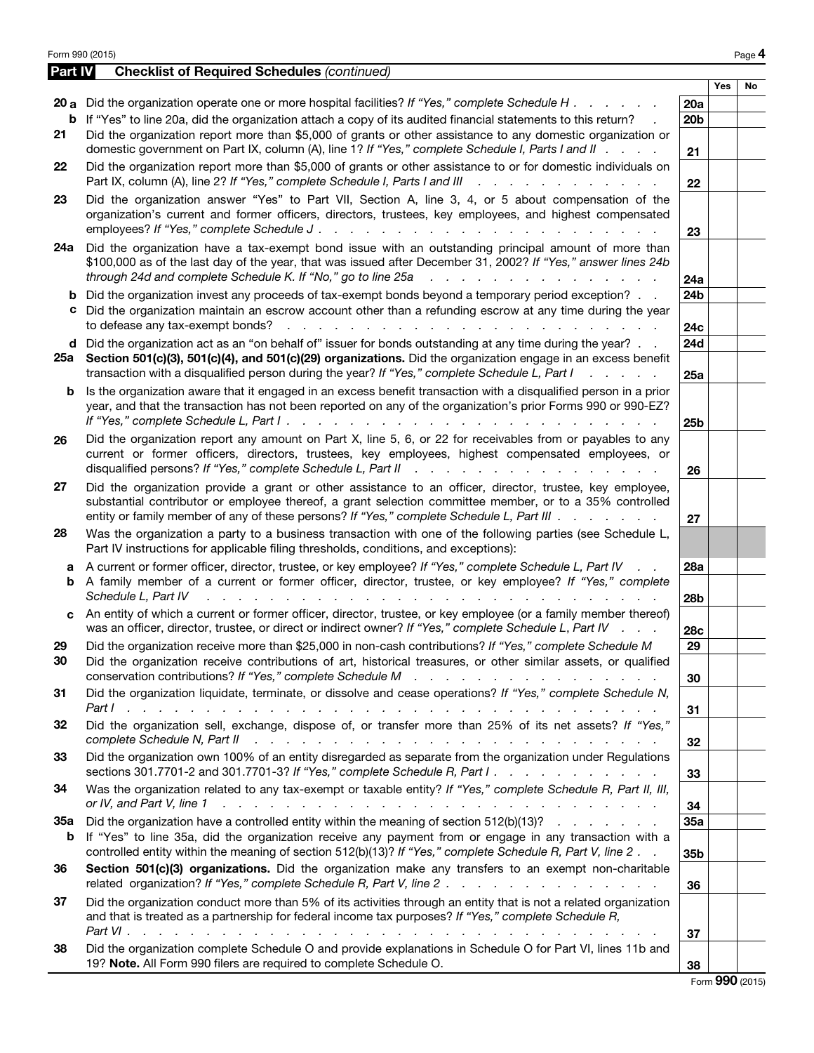|                 | Form 990 (2015)                                                                                                                                                                                                                                                                                                                                                                                                                      |                        |     | Page 4          |
|-----------------|--------------------------------------------------------------------------------------------------------------------------------------------------------------------------------------------------------------------------------------------------------------------------------------------------------------------------------------------------------------------------------------------------------------------------------------|------------------------|-----|-----------------|
| Part IV         | <b>Checklist of Required Schedules (continued)</b>                                                                                                                                                                                                                                                                                                                                                                                   |                        |     |                 |
|                 | 20 a Did the organization operate one or more hospital facilities? If "Yes," complete Schedule H                                                                                                                                                                                                                                                                                                                                     | 20a                    | Yes | No              |
|                 | <b>b</b> If "Yes" to line 20a, did the organization attach a copy of its audited financial statements to this return?                                                                                                                                                                                                                                                                                                                | 20 <sub>b</sub>        |     |                 |
| 21              | Did the organization report more than \$5,000 of grants or other assistance to any domestic organization or<br>domestic government on Part IX, column (A), line 1? If "Yes," complete Schedule I, Parts I and II                                                                                                                                                                                                                     | 21                     |     |                 |
| 22              | Did the organization report more than \$5,000 of grants or other assistance to or for domestic individuals on<br>Part IX, column (A), line 2? If "Yes," complete Schedule I, Parts I and III<br><u>in the series of the series of the series of the series of the series of the series of the series of the series of the series of the series of the series of the series of the series of the series of the series of the seri</u> | 22                     |     |                 |
| 23              | Did the organization answer "Yes" to Part VII, Section A, line 3, 4, or 5 about compensation of the<br>organization's current and former officers, directors, trustees, key employees, and highest compensated<br>employees? If "Yes," complete Schedule J.<br>$\sim$ $\sim$                                                                                                                                                         | 23                     |     |                 |
| 24a             | Did the organization have a tax-exempt bond issue with an outstanding principal amount of more than<br>\$100,000 as of the last day of the year, that was issued after December 31, 2002? If "Yes," answer lines 24b<br>through 24d and complete Schedule K. If "No," go to line 25a<br>المتحال والمتحال والمتحال والمتحال والمتحالة                                                                                                 | 24a                    |     |                 |
| c.              | b Did the organization invest any proceeds of tax-exempt bonds beyond a temporary period exception?<br>Did the organization maintain an escrow account other than a refunding escrow at any time during the year<br>to defease any tax-exempt bonds?                                                                                                                                                                                 | 24 <sub>b</sub><br>24c |     |                 |
|                 | d Did the organization act as an "on behalf of" issuer for bonds outstanding at any time during the year?<br>25a Section 501(c)(3), 501(c)(4), and 501(c)(29) organizations. Did the organization engage in an excess benefit<br>transaction with a disqualified person during the year? If "Yes," complete Schedule L, Part I<br>$1 - 1 - 1 - 1 = 1$                                                                                | 24d<br>25a             |     |                 |
| b               | Is the organization aware that it engaged in an excess benefit transaction with a disqualified person in a prior<br>year, and that the transaction has not been reported on any of the organization's prior Forms 990 or 990-EZ?                                                                                                                                                                                                     | 25 <sub>b</sub>        |     |                 |
| 26              | Did the organization report any amount on Part X, line 5, 6, or 22 for receivables from or payables to any<br>current or former officers, directors, trustees, key employees, highest compensated employees, or                                                                                                                                                                                                                      | 26                     |     |                 |
| 27              | Did the organization provide a grant or other assistance to an officer, director, trustee, key employee,<br>substantial contributor or employee thereof, a grant selection committee member, or to a 35% controlled<br>entity or family member of any of these persons? If "Yes," complete Schedule L, Part III                                                                                                                      | 27                     |     |                 |
| 28              | Was the organization a party to a business transaction with one of the following parties (see Schedule L,<br>Part IV instructions for applicable filing thresholds, conditions, and exceptions):                                                                                                                                                                                                                                     |                        |     |                 |
| a               | A current or former officer, director, trustee, or key employee? If "Yes," complete Schedule L, Part IV<br>$\mathbf{L} = \mathbf{L}$<br><b>b</b> A family member of a current or former officer, director, trustee, or key employee? If "Yes," complete<br>Schedule L, Part IV                                                                                                                                                       | 28a<br>28 <sub>b</sub> |     |                 |
|                 | c An entity of which a current or former officer, director, trustee, or key employee (or a family member thereof)<br>was an officer, director, trustee, or direct or indirect owner? If "Yes," complete Schedule L, Part IV                                                                                                                                                                                                          | 28 <sub>c</sub>        |     |                 |
| 29<br>30        | Did the organization receive more than \$25,000 in non-cash contributions? If "Yes," complete Schedule M<br>Did the organization receive contributions of art, historical treasures, or other similar assets, or qualified                                                                                                                                                                                                           | 29<br>30               |     |                 |
| 31              | Did the organization liquidate, terminate, or dissolve and cease operations? If "Yes," complete Schedule N,                                                                                                                                                                                                                                                                                                                          | 31                     |     |                 |
| 32              | Did the organization sell, exchange, dispose of, or transfer more than 25% of its net assets? If "Yes,"<br>complete Schedule N, Part II<br>and a construction of the construction of the construction of the construction of the construction of the construction of the construction of the construction of the construction of the construction of the construction of                                                             | 32                     |     |                 |
| 33              | Did the organization own 100% of an entity disregarded as separate from the organization under Regulations<br>sections 301.7701-2 and 301.7701-3? If "Yes," complete Schedule R, Part I.                                                                                                                                                                                                                                             | 33                     |     |                 |
| 34              | Was the organization related to any tax-exempt or taxable entity? If "Yes," complete Schedule R, Part II, III,<br>or IV, and Part V, line 1<br>والمتعاون والمتعاون والمتعاون والمتعاون والمتعاون والمتعاون والمتعاون والمتعاون والمتعاونة والمتعاون                                                                                                                                                                                  | 34                     |     |                 |
| <b>35a</b><br>b | Did the organization have a controlled entity within the meaning of section $512(b)(13)?$<br>If "Yes" to line 35a, did the organization receive any payment from or engage in any transaction with a<br>controlled entity within the meaning of section 512(b)(13)? If "Yes," complete Schedule R, Part V, line 2.                                                                                                                   | 35a<br>35b             |     |                 |
| 36              | Section 501(c)(3) organizations. Did the organization make any transfers to an exempt non-charitable                                                                                                                                                                                                                                                                                                                                 | 36                     |     |                 |
| 37              | Did the organization conduct more than 5% of its activities through an entity that is not a related organization<br>and that is treated as a partnership for federal income tax purposes? If "Yes," complete Schedule R,<br>$Part VI.$ $\ldots$ $\ldots$ $\ldots$ $\ldots$<br>in the contract of the contract of                                                                                                                     | 37                     |     |                 |
| 38              | Did the organization complete Schedule O and provide explanations in Schedule O for Part VI, lines 11b and<br>19? Note. All Form 990 filers are required to complete Schedule O.                                                                                                                                                                                                                                                     | 38                     |     |                 |
|                 |                                                                                                                                                                                                                                                                                                                                                                                                                                      |                        |     | Form 990 (2015) |

|  |  | Form 990 (2015) |
|--|--|-----------------|
|--|--|-----------------|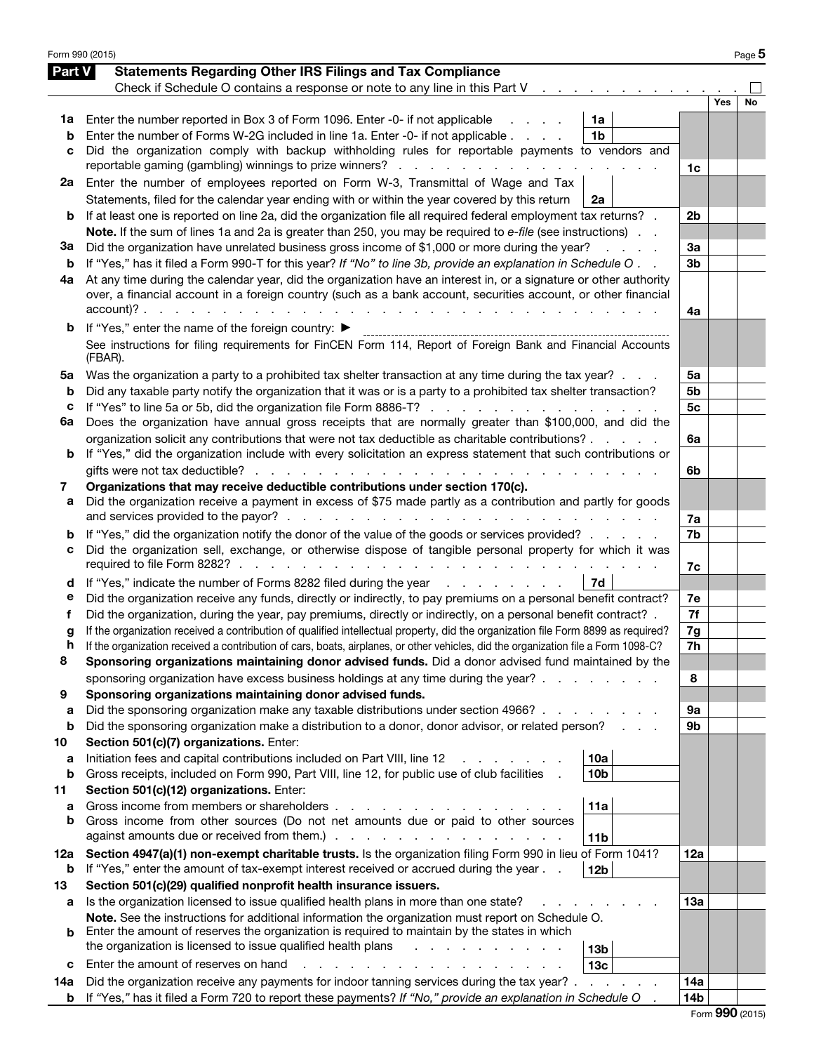| Form 990 (2015) |                                                                                                                                                                                                                           |                |     | Page 5 |
|-----------------|---------------------------------------------------------------------------------------------------------------------------------------------------------------------------------------------------------------------------|----------------|-----|--------|
| Part V          | <b>Statements Regarding Other IRS Filings and Tax Compliance</b>                                                                                                                                                          |                |     |        |
|                 | Check if Schedule O contains a response or note to any line in this Part V                                                                                                                                                |                |     |        |
|                 |                                                                                                                                                                                                                           |                | Yes | No     |
| 1a              | Enter the number reported in Box 3 of Form 1096. Enter -0- if not applicable<br>1a                                                                                                                                        |                |     |        |
| b               | Enter the number of Forms W-2G included in line 1a. Enter -0- if not applicable<br>1 <sub>b</sub>                                                                                                                         |                |     |        |
| с               | Did the organization comply with backup withholding rules for reportable payments to vendors and                                                                                                                          |                |     |        |
|                 | reportable gaming (gambling) winnings to prize winners?                                                                                                                                                                   | 1c             |     |        |
| 2a              | Enter the number of employees reported on Form W-3, Transmittal of Wage and Tax                                                                                                                                           |                |     |        |
|                 | Statements, filed for the calendar year ending with or within the year covered by this return<br>2a                                                                                                                       |                |     |        |
| b               | If at least one is reported on line 2a, did the organization file all required federal employment tax returns? .                                                                                                          | 2b             |     |        |
|                 | Note. If the sum of lines 1a and 2a is greater than 250, you may be required to e-file (see instructions).                                                                                                                |                |     |        |
| За              | Did the organization have unrelated business gross income of \$1,000 or more during the year?<br>and a strategic                                                                                                          | 3a             |     |        |
| b               | If "Yes," has it filed a Form 990-T for this year? If "No" to line 3b, provide an explanation in Schedule O                                                                                                               | 3 <sub>b</sub> |     |        |
| 4a              | At any time during the calendar year, did the organization have an interest in, or a signature or other authority                                                                                                         |                |     |        |
|                 | over, a financial account in a foreign country (such as a bank account, securities account, or other financial<br>$account)?$ .<br>and the control of                                                                     |                |     |        |
|                 | and a strain and a strain of                                                                                                                                                                                              | 4a             |     |        |
| b               | If "Yes," enter the name of the foreign country: ▶                                                                                                                                                                        |                |     |        |
|                 | See instructions for filing requirements for FinCEN Form 114, Report of Foreign Bank and Financial Accounts<br>(FBAR).                                                                                                    |                |     |        |
|                 |                                                                                                                                                                                                                           |                |     |        |
| 5a<br>b         | Was the organization a party to a prohibited tax shelter transaction at any time during the tax year?<br>Did any taxable party notify the organization that it was or is a party to a prohibited tax shelter transaction? | 5a<br>5b       |     |        |
| с               | If "Yes" to line 5a or 5b, did the organization file Form 8886-T?                                                                                                                                                         | 5 <sub>c</sub> |     |        |
| 6a              | Does the organization have annual gross receipts that are normally greater than \$100,000, and did the                                                                                                                    |                |     |        |
|                 | organization solicit any contributions that were not tax deductible as charitable contributions?                                                                                                                          | 6a             |     |        |
| b               | If "Yes," did the organization include with every solicitation an express statement that such contributions or                                                                                                            |                |     |        |
|                 | gifts were not tax deductible?                                                                                                                                                                                            | 6b             |     |        |
| 7               | Organizations that may receive deductible contributions under section 170(c).                                                                                                                                             |                |     |        |
| а               | Did the organization receive a payment in excess of \$75 made partly as a contribution and partly for goods                                                                                                               |                |     |        |
|                 | and services provided to the payor?.<br>the contract of the contract of the contract of the con-                                                                                                                          | 7a             |     |        |
| b               | If "Yes," did the organization notify the donor of the value of the goods or services provided?                                                                                                                           | 7b             |     |        |
| с               | Did the organization sell, exchange, or otherwise dispose of tangible personal property for which it was                                                                                                                  |                |     |        |
|                 | required to file Form 8282?.<br>and the contract of the con-<br>and the contract of the con-                                                                                                                              | 7c             |     |        |
| d               | If "Yes," indicate the number of Forms 8282 filed during the year<br>7d                                                                                                                                                   |                |     |        |
| е               | Did the organization receive any funds, directly or indirectly, to pay premiums on a personal benefit contract?                                                                                                           | 7e             |     |        |
| f               | Did the organization, during the year, pay premiums, directly or indirectly, on a personal benefit contract? .                                                                                                            | 7f             |     |        |
| g               | If the organization received a contribution of qualified intellectual property, did the organization file Form 8899 as required?                                                                                          | 7g             |     |        |
| n               | If the organization received a contribution of cars, boats, airplanes, or other vehicles, did the organization file a Form 1098-C?                                                                                        | 7h             |     |        |
| 8               | Sponsoring organizations maintaining donor advised funds. Did a donor advised fund maintained by the                                                                                                                      |                |     |        |
|                 | sponsoring organization have excess business holdings at any time during the year?.                                                                                                                                       | 8              |     |        |
| 9               | Sponsoring organizations maintaining donor advised funds.                                                                                                                                                                 |                |     |        |
| a               | Did the sponsoring organization make any taxable distributions under section 4966?                                                                                                                                        | 9а             |     |        |
| b               | Did the sponsoring organization make a distribution to a donor, donor advisor, or related person?                                                                                                                         | 9b             |     |        |
| 10              | Section 501(c)(7) organizations. Enter:                                                                                                                                                                                   |                |     |        |
| a<br>b          | Initiation fees and capital contributions included on Part VIII, line 12<br>10a<br>Gross receipts, included on Form 990, Part VIII, line 12, for public use of club facilities<br>10 <sub>b</sub>                         |                |     |        |
| 11              | Section 501(c)(12) organizations. Enter:                                                                                                                                                                                  |                |     |        |
| a               | Gross income from members or shareholders.<br>11a                                                                                                                                                                         |                |     |        |
| b               | Gross income from other sources (Do not net amounts due or paid to other sources                                                                                                                                          |                |     |        |
|                 | against amounts due or received from them.).<br>the contract of the contract of the contract of the contract of the contract of the contract of the contract of<br>11 <sub>b</sub>                                        |                |     |        |
| 12a             | Section 4947(a)(1) non-exempt charitable trusts. Is the organization filing Form 990 in lieu of Form 1041?                                                                                                                | 12a            |     |        |
| b               | If "Yes," enter the amount of tax-exempt interest received or accrued during the year<br>12 <sub>b</sub>                                                                                                                  |                |     |        |
| 13              | Section 501(c)(29) qualified nonprofit health insurance issuers.                                                                                                                                                          |                |     |        |
| а               | Is the organization licensed to issue qualified health plans in more than one state?                                                                                                                                      | 13а            |     |        |
|                 | Note. See the instructions for additional information the organization must report on Schedule O.                                                                                                                         |                |     |        |
| b               | Enter the amount of reserves the organization is required to maintain by the states in which                                                                                                                              |                |     |        |
|                 | the organization is licensed to issue qualified health plans<br>13 <sub>b</sub>                                                                                                                                           |                |     |        |
| с               | Enter the amount of reserves on hand<br>13 <sub>c</sub>                                                                                                                                                                   |                |     |        |
| 14a             | Did the organization receive any payments for indoor tanning services during the tax year?.<br><b>Service Control</b>                                                                                                     | 14a            |     |        |
| b               | If "Yes," has it filed a Form 720 to report these payments? If "No," provide an explanation in Schedule O                                                                                                                 | 14b            |     |        |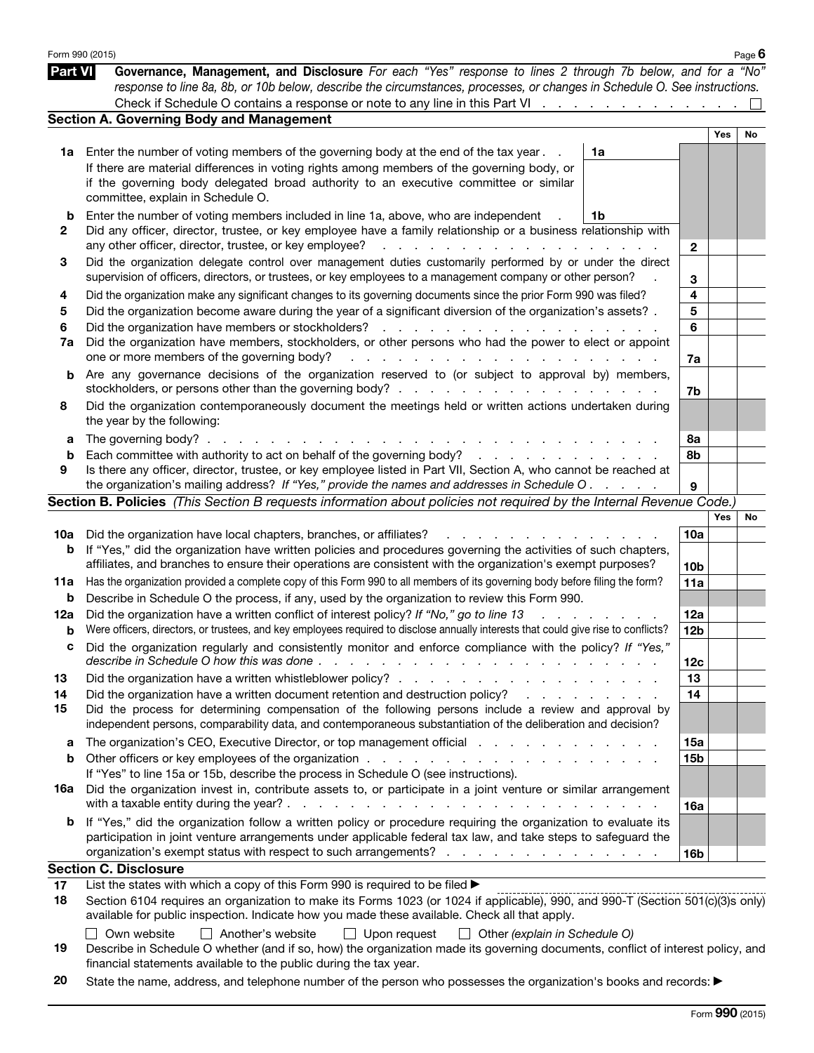|                | Form 990 (2015)                                                                                                                                                                                                                                                             |                                                                                                                 |                 |     | Page $6$ |
|----------------|-----------------------------------------------------------------------------------------------------------------------------------------------------------------------------------------------------------------------------------------------------------------------------|-----------------------------------------------------------------------------------------------------------------|-----------------|-----|----------|
| <b>Part VI</b> | Governance, Management, and Disclosure For each "Yes" response to lines 2 through 7b below, and for a "No"<br>response to line 8a, 8b, or 10b below, describe the circumstances, processes, or changes in Schedule O. See instructions.                                     |                                                                                                                 |                 |     |          |
|                | Check if Schedule O contains a response or note to any line in this Part VI                                                                                                                                                                                                 |                                                                                                                 |                 |     |          |
|                | <b>Section A. Governing Body and Management</b>                                                                                                                                                                                                                             |                                                                                                                 |                 |     |          |
|                |                                                                                                                                                                                                                                                                             |                                                                                                                 |                 | Yes | No       |
|                | 1a Enter the number of voting members of the governing body at the end of the tax year.                                                                                                                                                                                     | 1a                                                                                                              |                 |     |          |
|                | If there are material differences in voting rights among members of the governing body, or<br>if the governing body delegated broad authority to an executive committee or similar                                                                                          |                                                                                                                 |                 |     |          |
|                | committee, explain in Schedule O.                                                                                                                                                                                                                                           |                                                                                                                 |                 |     |          |
| b              | Enter the number of voting members included in line 1a, above, who are independent                                                                                                                                                                                          | 1b                                                                                                              |                 |     |          |
| 2              | Did any officer, director, trustee, or key employee have a family relationship or a business relationship with                                                                                                                                                              |                                                                                                                 |                 |     |          |
|                | any other officer, director, trustee, or key employee?<br>de la caractería de la caractería de la caractería                                                                                                                                                                |                                                                                                                 | $\mathbf{2}$    |     |          |
| 3              | Did the organization delegate control over management duties customarily performed by or under the direct<br>supervision of officers, directors, or trustees, or key employees to a management company or other person?                                                     |                                                                                                                 | 3               |     |          |
| 4              | Did the organization make any significant changes to its governing documents since the prior Form 990 was filed?                                                                                                                                                            |                                                                                                                 | 4               |     |          |
| 5              | Did the organization become aware during the year of a significant diversion of the organization's assets?.                                                                                                                                                                 |                                                                                                                 | 5               |     |          |
| 6              |                                                                                                                                                                                                                                                                             |                                                                                                                 | 6               |     |          |
| 7a             | Did the organization have members, stockholders, or other persons who had the power to elect or appoint                                                                                                                                                                     |                                                                                                                 |                 |     |          |
|                | one or more members of the governing body?                                                                                                                                                                                                                                  |                                                                                                                 | 7a              |     |          |
| b              | Are any governance decisions of the organization reserved to (or subject to approval by) members,                                                                                                                                                                           |                                                                                                                 |                 |     |          |
|                |                                                                                                                                                                                                                                                                             |                                                                                                                 | 7b              |     |          |
| 8              | Did the organization contemporaneously document the meetings held or written actions undertaken during<br>the year by the following:                                                                                                                                        |                                                                                                                 |                 |     |          |
| а              | The governing body? $\ldots$ $\ldots$ $\ldots$ $\ldots$ $\ldots$ $\ldots$                                                                                                                                                                                                   |                                                                                                                 | 8а              |     |          |
| b              |                                                                                                                                                                                                                                                                             |                                                                                                                 | 8b              |     |          |
| 9              | Is there any officer, director, trustee, or key employee listed in Part VII, Section A, who cannot be reached at                                                                                                                                                            |                                                                                                                 |                 |     |          |
|                | the organization's mailing address? If "Yes," provide the names and addresses in Schedule O.                                                                                                                                                                                |                                                                                                                 | 9               |     |          |
|                | Section B. Policies (This Section B requests information about policies not required by the Internal Revenue Code.)                                                                                                                                                         |                                                                                                                 |                 |     |          |
|                |                                                                                                                                                                                                                                                                             |                                                                                                                 |                 | Yes | No       |
| 10a            | Did the organization have local chapters, branches, or affiliates?<br>and a straight and a                                                                                                                                                                                  |                                                                                                                 | 10a             |     |          |
| b              | If "Yes," did the organization have written policies and procedures governing the activities of such chapters,<br>affiliates, and branches to ensure their operations are consistent with the organization's exempt purposes?                                               |                                                                                                                 |                 |     |          |
|                | Has the organization provided a complete copy of this Form 990 to all members of its governing body before filing the form?                                                                                                                                                 |                                                                                                                 | 10 <sub>b</sub> |     |          |
| 11a            |                                                                                                                                                                                                                                                                             |                                                                                                                 | 11a             |     |          |
| b              | Describe in Schedule O the process, if any, used by the organization to review this Form 990.<br>Did the organization have a written conflict of interest policy? If "No," go to line 13                                                                                    |                                                                                                                 | 12a             |     |          |
| 12a<br>b       | $\mathbf{r}$ and $\mathbf{r}$<br>Were officers, directors, or trustees, and key employees required to disclose annually interests that could give rise to conflicts?                                                                                                        |                                                                                                                 | 12 <sub>b</sub> |     |          |
|                | Did the organization regularly and consistently monitor and enforce compliance with the policy? If "Yes,                                                                                                                                                                    |                                                                                                                 |                 |     |          |
|                | describe in Schedule O how this was done.<br>and the contract of the contract of the contract of the contract of the contract of the contract of the contract of the contract of the contract of the contract of the contract of the contract of the contract of the contra |                                                                                                                 | 12 <sub>c</sub> |     |          |
| 13             |                                                                                                                                                                                                                                                                             |                                                                                                                 | 13              |     |          |
| 14             | Did the organization have a written document retention and destruction policy?                                                                                                                                                                                              | and the state of the state of the state of the state of the state of the state of the state of the state of the | 14              |     |          |
| 15             | Did the process for determining compensation of the following persons include a review and approval by                                                                                                                                                                      |                                                                                                                 |                 |     |          |
|                | independent persons, comparability data, and contemporaneous substantiation of the deliberation and decision?                                                                                                                                                               |                                                                                                                 |                 |     |          |
| а              | The organization's CEO, Executive Director, or top management official enterstance of the organization's CEO, Executive Director, or top management official                                                                                                                |                                                                                                                 | 15a             |     |          |
| b              |                                                                                                                                                                                                                                                                             |                                                                                                                 | <b>15b</b>      |     |          |
|                | If "Yes" to line 15a or 15b, describe the process in Schedule O (see instructions).                                                                                                                                                                                         |                                                                                                                 |                 |     |          |
| 16a            | Did the organization invest in, contribute assets to, or participate in a joint venture or similar arrangement                                                                                                                                                              |                                                                                                                 |                 |     |          |
|                |                                                                                                                                                                                                                                                                             | <b>Contract Contract</b>                                                                                        | 16a             |     |          |
|                | If "Yes," did the organization follow a written policy or procedure requiring the organization to evaluate its                                                                                                                                                              |                                                                                                                 |                 |     |          |
| b              |                                                                                                                                                                                                                                                                             |                                                                                                                 |                 |     |          |
|                | participation in joint venture arrangements under applicable federal tax law, and take steps to safeguard the                                                                                                                                                               |                                                                                                                 |                 |     |          |
|                | organization's exempt status with respect to such arrangements?                                                                                                                                                                                                             |                                                                                                                 | 16 <sub>b</sub> |     |          |
|                | <b>Section C. Disclosure</b>                                                                                                                                                                                                                                                |                                                                                                                 |                 |     |          |
| 17             | List the states with which a copy of this Form 990 is required to be filed >                                                                                                                                                                                                |                                                                                                                 |                 |     |          |
| 18             | Section 6104 requires an organization to make its Forms 1023 (or 1024 if applicable), 990, and 990-T (Section 501(c)(3)s only)                                                                                                                                              |                                                                                                                 |                 |     |          |
|                | available for public inspection. Indicate how you made these available. Check all that apply.<br>Own website   Another's website   Upon request   Other (explain in Schedule O)                                                                                             |                                                                                                                 |                 |     |          |

| $\blacksquare$ $\blacksquare$ $\blacksquare$ $\blacksquare$ $\blacksquare$ $\blacksquare$ $\blacksquare$ $\blacksquare$ $\blacksquare$ $\blacksquare$ $\blacksquare$ $\blacksquare$ $\blacksquare$ $\blacksquare$ $\blacksquare$ $\blacksquare$ $\blacksquare$ $\blacksquare$ $\blacksquare$ $\blacksquare$ $\blacksquare$ $\blacksquare$ $\blacksquare$ $\blacksquare$ $\blacksquare$ $\blacksquare$ $\blacksquare$ $\blacksquare$ $\blacksquare$ $\blacksquare$ $\blacksquare$ $\blacks$<br>$\Box$ open request $\Box$ other [explain in concurse) |
|------------------------------------------------------------------------------------------------------------------------------------------------------------------------------------------------------------------------------------------------------------------------------------------------------------------------------------------------------------------------------------------------------------------------------------------------------------------------------------------------------------------------------------------------------|
| Describe in Schedule O whether (and if so, how) the organization made its governing documents, conflict of interest policy, and                                                                                                                                                                                                                                                                                                                                                                                                                      |
| financial statements available to the public during the tax year.                                                                                                                                                                                                                                                                                                                                                                                                                                                                                    |

20 State the name, address, and telephone number of the person who possesses the organization's books and records: ▶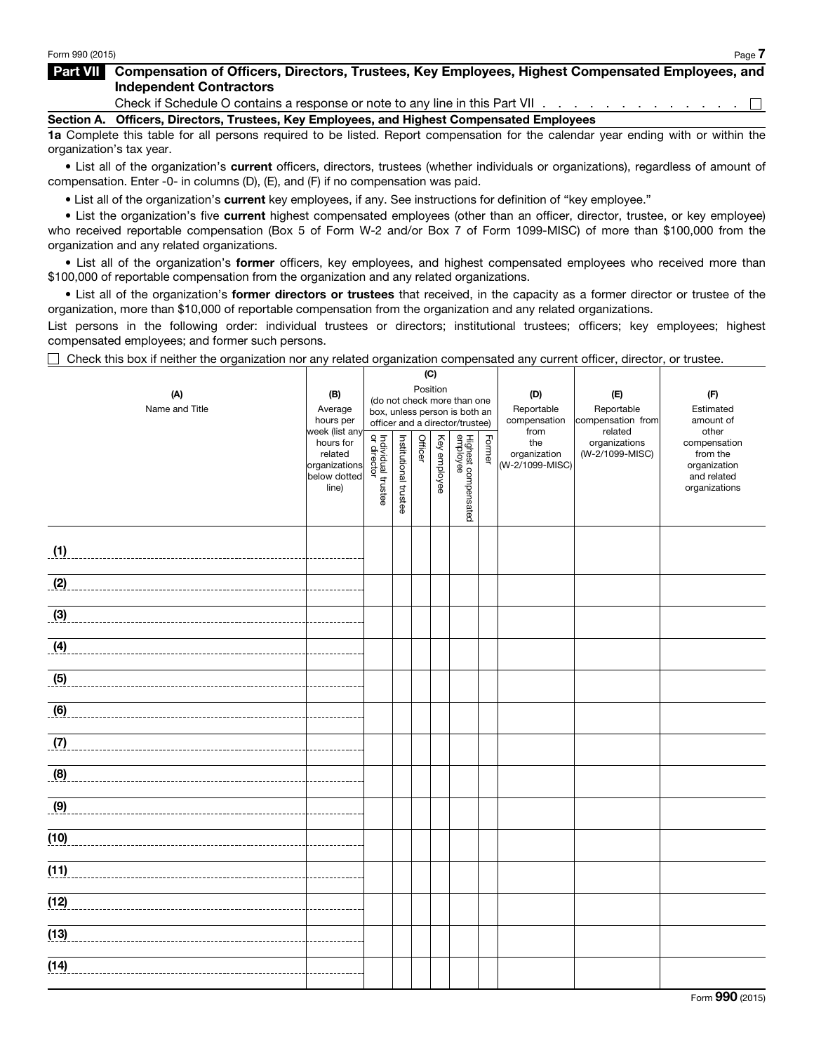## Part VII Compensation of Officers, Directors, Trustees, Key Employees, Highest Compensated Employees, and Independent Contractors

Check if Schedule O contains a response or note to any line in this Part VII . . . . . . . . . . . . . .  $\Box$ 

Section A. Officers, Directors, Trustees, Key Employees, and Highest Compensated Employees

1a Complete this table for all persons required to be listed. Report compensation for the calendar year ending with or within the organization's tax year.

• List all of the organization's current officers, directors, trustees (whether individuals or organizations), regardless of amount of compensation. Enter -0- in columns (D), (E), and (F) if no compensation was paid.

• List all of the organization's current key employees, if any. See instructions for definition of "key employee."

• List the organization's five current highest compensated employees (other than an officer, director, trustee, or key employee) who received reportable compensation (Box 5 of Form W-2 and/or Box 7 of Form 1099-MISC) of more than \$100,000 from the organization and any related organizations.

• List all of the organization's former officers, key employees, and highest compensated employees who received more than \$100,000 of reportable compensation from the organization and any related organizations.

• List all of the organization's former directors or trustees that received, in the capacity as a former director or trustee of the organization, more than \$10,000 of reportable compensation from the organization and any related organizations.

List persons in the following order: individual trustees or directors; institutional trustees; officers; key employees; highest compensated employees; and former such persons.

 $\Box$  Check this box if neither the organization nor any related organization compensated any current officer, director, or trustee.

|                |                               | (C)                                     |                       |         |              |                                 |        |                 |                          |                             |
|----------------|-------------------------------|-----------------------------------------|-----------------------|---------|--------------|---------------------------------|--------|-----------------|--------------------------|-----------------------------|
| (A)            | (B)                           | Position<br>(do not check more than one |                       | (D)     | (E)          | (F)                             |        |                 |                          |                             |
| Name and Title | Average                       |                                         |                       |         |              | box, unless person is both an   |        | Reportable      | Reportable               | Estimated                   |
|                | hours per                     |                                         |                       |         |              | officer and a director/trustee) |        | compensation    | compensation from        | amount of                   |
|                | week (list any<br>hours for   |                                         |                       |         |              |                                 |        | from<br>the     | related<br>organizations | other<br>compensation       |
|                | related                       |                                         |                       | Officer |              |                                 | Former | organization    | (W-2/1099-MISC)          | from the                    |
|                | organizations<br>below dotted |                                         |                       |         | Key employee |                                 |        | (W-2/1099-MISC) |                          | organization<br>and related |
|                | line)                         | Individual trustee<br>or director       |                       |         |              |                                 |        |                 |                          | organizations               |
|                |                               |                                         | Institutional trustee |         |              | Highest compensated<br>employee |        |                 |                          |                             |
|                |                               |                                         |                       |         |              |                                 |        |                 |                          |                             |
|                |                               |                                         |                       |         |              |                                 |        |                 |                          |                             |
| (1)            |                               |                                         |                       |         |              |                                 |        |                 |                          |                             |
|                |                               |                                         |                       |         |              |                                 |        |                 |                          |                             |
| (2)            |                               |                                         |                       |         |              |                                 |        |                 |                          |                             |
|                |                               |                                         |                       |         |              |                                 |        |                 |                          |                             |
| (3)            |                               |                                         |                       |         |              |                                 |        |                 |                          |                             |
| (4)            |                               |                                         |                       |         |              |                                 |        |                 |                          |                             |
|                |                               |                                         |                       |         |              |                                 |        |                 |                          |                             |
| (5)            |                               |                                         |                       |         |              |                                 |        |                 |                          |                             |
|                |                               |                                         |                       |         |              |                                 |        |                 |                          |                             |
| (6)            |                               |                                         |                       |         |              |                                 |        |                 |                          |                             |
|                |                               |                                         |                       |         |              |                                 |        |                 |                          |                             |
| (7)            |                               |                                         |                       |         |              |                                 |        |                 |                          |                             |
|                |                               |                                         |                       |         |              |                                 |        |                 |                          |                             |
| (8)            |                               |                                         |                       |         |              |                                 |        |                 |                          |                             |
|                |                               |                                         |                       |         |              |                                 |        |                 |                          |                             |
| (9)            |                               |                                         |                       |         |              |                                 |        |                 |                          |                             |
|                |                               |                                         |                       |         |              |                                 |        |                 |                          |                             |
| (10)           |                               |                                         |                       |         |              |                                 |        |                 |                          |                             |
|                |                               |                                         |                       |         |              |                                 |        |                 |                          |                             |
| (11)           |                               |                                         |                       |         |              |                                 |        |                 |                          |                             |
| (12)           |                               |                                         |                       |         |              |                                 |        |                 |                          |                             |
|                |                               |                                         |                       |         |              |                                 |        |                 |                          |                             |
| (13)           |                               |                                         |                       |         |              |                                 |        |                 |                          |                             |
|                |                               |                                         |                       |         |              |                                 |        |                 |                          |                             |
| (14)           |                               |                                         |                       |         |              |                                 |        |                 |                          |                             |
|                |                               |                                         |                       |         |              |                                 |        |                 |                          |                             |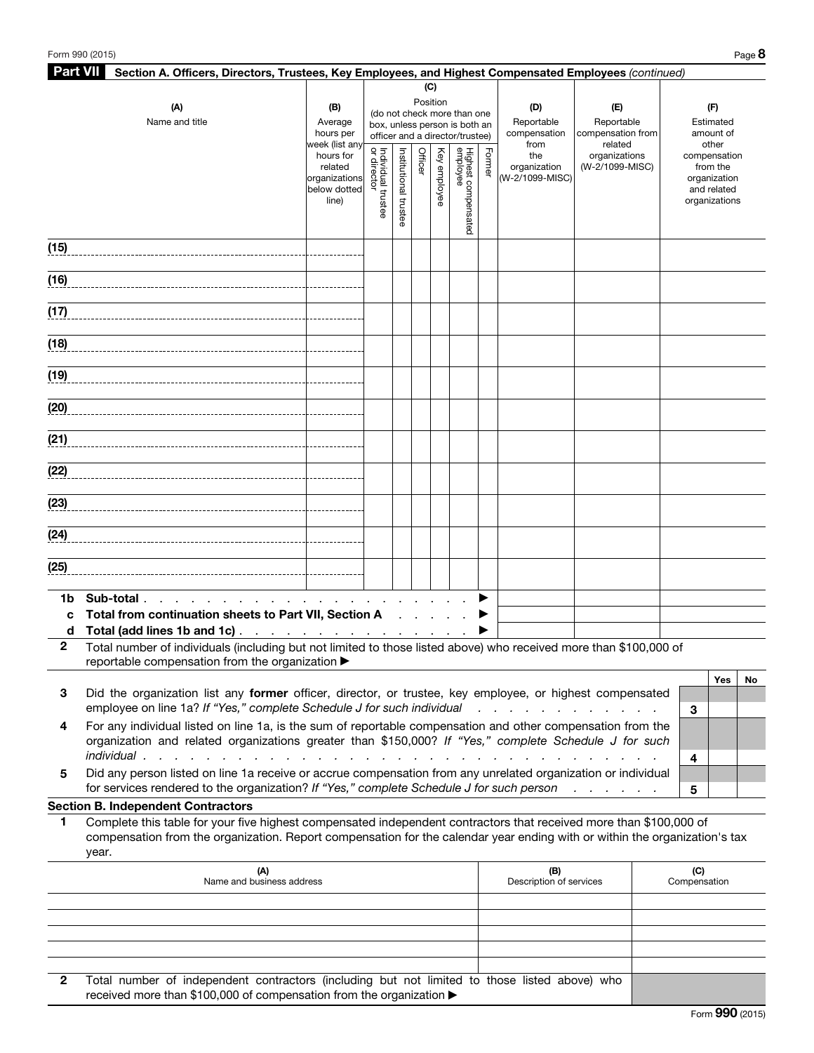| <b>Part VII</b> | Section A. Officers, Directors, Trustees, Key Employees, and Highest Compensated Employees (continued)                     |                                                 |              |                       |         |              |                                 |        |                                                                |                              |                             |
|-----------------|----------------------------------------------------------------------------------------------------------------------------|-------------------------------------------------|--------------|-----------------------|---------|--------------|---------------------------------|--------|----------------------------------------------------------------|------------------------------|-----------------------------|
|                 |                                                                                                                            |                                                 |              |                       |         | (C)          |                                 |        |                                                                |                              |                             |
|                 | (A)                                                                                                                        | (B)                                             |              |                       |         | Position     | (do not check more than one     |        | (D)                                                            | (E)                          | (F)                         |
|                 | Name and title                                                                                                             | Average                                         |              |                       |         |              | box, unless person is both an   |        | Reportable                                                     | Reportable                   | Estimated                   |
|                 |                                                                                                                            | hours per<br>week (list any                     |              |                       |         |              | officer and a director/trustee) |        | compensation<br>from                                           | compensation from<br>related | amount of<br>other          |
|                 |                                                                                                                            | hours for                                       | Individual t |                       | Officer |              |                                 | Former | the                                                            | organizations                | compensation                |
|                 |                                                                                                                            | related                                         |              |                       |         |              |                                 |        | organization                                                   | (W-2/1099-MISC)              | from the                    |
|                 |                                                                                                                            | organizations<br>below dotted                   |              |                       |         | Key employee |                                 |        | (W-2/1099-MISC)                                                |                              | organization<br>and related |
|                 |                                                                                                                            | line)                                           | trustee      |                       |         |              |                                 |        |                                                                |                              | organizations               |
|                 |                                                                                                                            |                                                 |              | Institutional trustee |         |              | Highest compensated<br>employee |        |                                                                |                              |                             |
|                 |                                                                                                                            |                                                 |              |                       |         |              |                                 |        |                                                                |                              |                             |
| (15)            |                                                                                                                            |                                                 |              |                       |         |              |                                 |        |                                                                |                              |                             |
|                 |                                                                                                                            |                                                 |              |                       |         |              |                                 |        |                                                                |                              |                             |
| (16)            |                                                                                                                            |                                                 |              |                       |         |              |                                 |        |                                                                |                              |                             |
|                 |                                                                                                                            |                                                 |              |                       |         |              |                                 |        |                                                                |                              |                             |
| (17)            |                                                                                                                            |                                                 |              |                       |         |              |                                 |        |                                                                |                              |                             |
|                 |                                                                                                                            |                                                 |              |                       |         |              |                                 |        |                                                                |                              |                             |
| (18)            |                                                                                                                            |                                                 |              |                       |         |              |                                 |        |                                                                |                              |                             |
|                 |                                                                                                                            |                                                 |              |                       |         |              |                                 |        |                                                                |                              |                             |
| (19)            |                                                                                                                            |                                                 |              |                       |         |              |                                 |        |                                                                |                              |                             |
|                 |                                                                                                                            |                                                 |              |                       |         |              |                                 |        |                                                                |                              |                             |
| (20)            |                                                                                                                            |                                                 |              |                       |         |              |                                 |        |                                                                |                              |                             |
|                 |                                                                                                                            |                                                 |              |                       |         |              |                                 |        |                                                                |                              |                             |
| (21)            |                                                                                                                            |                                                 |              |                       |         |              |                                 |        |                                                                |                              |                             |
| (22)            |                                                                                                                            |                                                 |              |                       |         |              |                                 |        |                                                                |                              |                             |
|                 |                                                                                                                            |                                                 |              |                       |         |              |                                 |        |                                                                |                              |                             |
| (23)            |                                                                                                                            |                                                 |              |                       |         |              |                                 |        |                                                                |                              |                             |
|                 |                                                                                                                            |                                                 |              |                       |         |              |                                 |        |                                                                |                              |                             |
| (24)            |                                                                                                                            |                                                 |              |                       |         |              |                                 |        |                                                                |                              |                             |
|                 |                                                                                                                            |                                                 |              |                       |         |              |                                 |        |                                                                |                              |                             |
| (25)            |                                                                                                                            |                                                 |              |                       |         |              |                                 |        |                                                                |                              |                             |
|                 |                                                                                                                            |                                                 |              |                       |         |              |                                 |        |                                                                |                              |                             |
| 1b.             | Sub-total.                                                                                                                 |                                                 |              |                       |         |              |                                 |        |                                                                |                              |                             |
| C               | Total from continuation sheets to Part VII, Section A                                                                      |                                                 |              |                       |         |              |                                 |        |                                                                |                              |                             |
| d               | Total (add lines 1b and 1c).                                                                                               | the contract of the contract of the contract of |              |                       |         |              |                                 |        |                                                                |                              |                             |
| 2               | Total number of individuals (including but not limited to those listed above) who received more than \$100,000 of          |                                                 |              |                       |         |              |                                 |        |                                                                |                              |                             |
|                 | reportable compensation from the organization ▶                                                                            |                                                 |              |                       |         |              |                                 |        |                                                                |                              |                             |
|                 |                                                                                                                            |                                                 |              |                       |         |              |                                 |        |                                                                |                              | Yes<br>No                   |
| З               | Did the organization list any former officer, director, or trustee, key employee, or highest compensated                   |                                                 |              |                       |         |              |                                 |        |                                                                |                              |                             |
|                 | employee on line 1a? If "Yes," complete Schedule J for such individual                                                     |                                                 |              |                       |         |              |                                 |        | $\mathbf{r}$ and $\mathbf{r}$<br>$\mathbf{r}$ and $\mathbf{r}$ |                              | 3                           |
| 4               | For any individual listed on line 1a, is the sum of reportable compensation and other compensation from the                |                                                 |              |                       |         |              |                                 |        |                                                                |                              |                             |
|                 | organization and related organizations greater than \$150,000? If "Yes," complete Schedule J for such                      |                                                 |              |                       |         |              |                                 |        |                                                                |                              |                             |
|                 | individual.                                                                                                                | $\mathbf{r}$ , $\mathbf{r}$                     |              |                       |         |              |                                 |        |                                                                |                              | 4                           |
| 5               | Did any person listed on line 1a receive or accrue compensation from any unrelated organization or individual              |                                                 |              |                       |         |              |                                 |        |                                                                |                              |                             |
|                 | for services rendered to the organization? If "Yes," complete Schedule J for such person                                   |                                                 |              |                       |         |              |                                 |        |                                                                |                              | 5                           |
|                 | <b>Section B. Independent Contractors</b>                                                                                  |                                                 |              |                       |         |              |                                 |        |                                                                |                              |                             |
| 1               | Complete this table for your five highest compensated independent contractors that received more than \$100,000 of         |                                                 |              |                       |         |              |                                 |        |                                                                |                              |                             |
|                 | compensation from the organization. Report compensation for the calendar year ending with or within the organization's tax |                                                 |              |                       |         |              |                                 |        |                                                                |                              |                             |
|                 | year.                                                                                                                      |                                                 |              |                       |         |              |                                 |        |                                                                |                              |                             |

|   | (M)<br>Name and business address                                                                                                                                      | (B)<br>Description of services | (C)<br>Compensation |
|---|-----------------------------------------------------------------------------------------------------------------------------------------------------------------------|--------------------------------|---------------------|
|   |                                                                                                                                                                       |                                |                     |
|   |                                                                                                                                                                       |                                |                     |
|   |                                                                                                                                                                       |                                |                     |
|   |                                                                                                                                                                       |                                |                     |
|   |                                                                                                                                                                       |                                |                     |
| 2 | Total number of independent contractors (including but not limited to those listed above) who<br>received more than \$100,000 of compensation from the organization ▶ |                                |                     |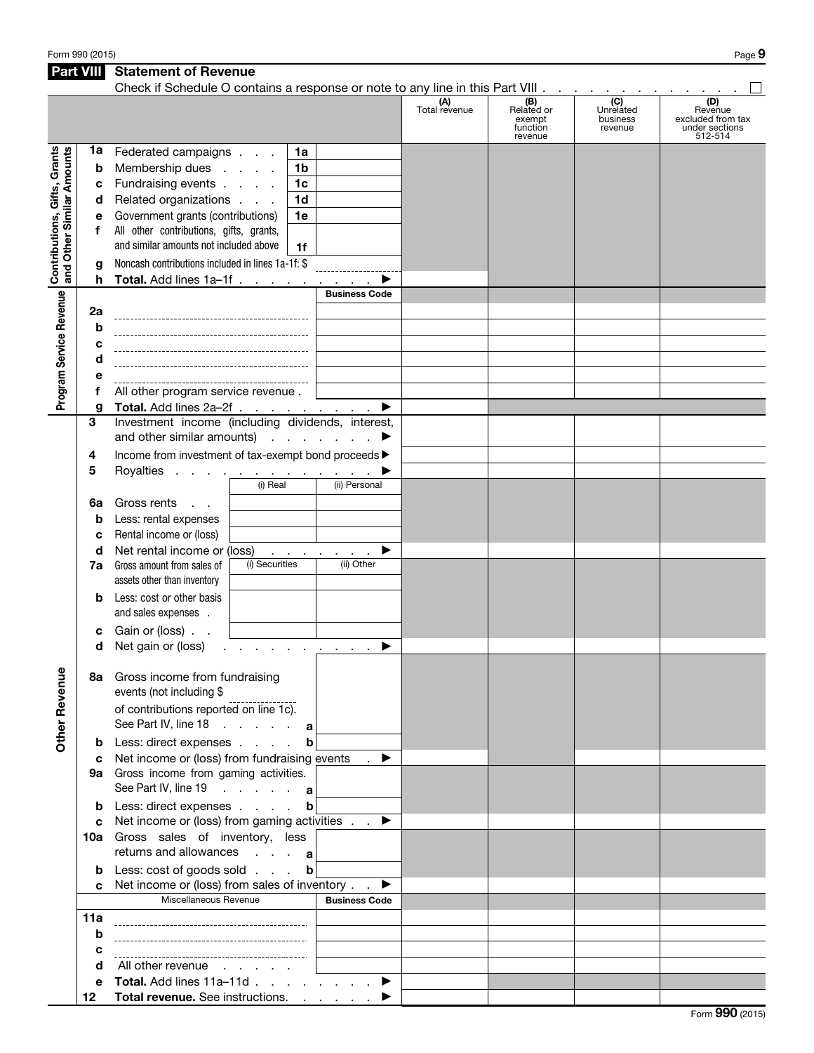Form 990 (2015) Page  $9$ 

| <b>Part VIII</b>                                          |                  | <b>Statement of Revenue</b>                                                   |                                                |                      |                                                    |                                         |                                                                  |
|-----------------------------------------------------------|------------------|-------------------------------------------------------------------------------|------------------------------------------------|----------------------|----------------------------------------------------|-----------------------------------------|------------------------------------------------------------------|
|                                                           |                  | Check if Schedule O contains a response or note to any line in this Part VIII |                                                | (A)<br>Total revenue | (B)<br>Related or<br>exempt<br>function<br>revenue | (C)<br>Unrelated<br>business<br>revenue | (D)<br>Revenue<br>excluded from tax<br>under sections<br>512-514 |
| Contributions, Gifts, Grants<br>and Other Similar Amounts | 1a<br>b          | Federated campaigns<br>Membership dues                                        | 1a<br>1 <sub>b</sub>                           |                      |                                                    |                                         |                                                                  |
|                                                           | c                | Fundraising events                                                            | 1 <sub>c</sub>                                 |                      |                                                    |                                         |                                                                  |
|                                                           | d                | Related organizations                                                         | 1 <sub>d</sub>                                 |                      |                                                    |                                         |                                                                  |
|                                                           | е                | Government grants (contributions)                                             | 1e                                             |                      |                                                    |                                         |                                                                  |
|                                                           | f                | All other contributions, gifts, grants,                                       |                                                |                      |                                                    |                                         |                                                                  |
|                                                           |                  | and similar amounts not included above                                        | 1f                                             |                      |                                                    |                                         |                                                                  |
|                                                           |                  |                                                                               |                                                |                      |                                                    |                                         |                                                                  |
|                                                           | g                | Noncash contributions included in lines 1a-1f: \$                             |                                                |                      |                                                    |                                         |                                                                  |
|                                                           | h                | Total. Add lines 1a-1f                                                        |                                                |                      |                                                    |                                         |                                                                  |
| Program Service Revenue                                   |                  |                                                                               | <b>Business Code</b>                           |                      |                                                    |                                         |                                                                  |
|                                                           | 2a               |                                                                               |                                                |                      |                                                    |                                         |                                                                  |
|                                                           | b                |                                                                               |                                                |                      |                                                    |                                         |                                                                  |
|                                                           | c                |                                                                               |                                                |                      |                                                    |                                         |                                                                  |
|                                                           | d                |                                                                               |                                                |                      |                                                    |                                         |                                                                  |
|                                                           | е                |                                                                               |                                                |                      |                                                    |                                         |                                                                  |
|                                                           | f                | All other program service revenue.                                            |                                                |                      |                                                    |                                         |                                                                  |
|                                                           | g                | Total. Add lines 2a-2f                                                        | ▶                                              |                      |                                                    |                                         |                                                                  |
|                                                           | 3                | Investment income (including dividends, interest,                             |                                                |                      |                                                    |                                         |                                                                  |
|                                                           |                  | and other similar amounts) $\cdots$ $\cdots$                                  |                                                |                      |                                                    |                                         |                                                                  |
|                                                           | 4                | Income from investment of tax-exempt bond proceeds >                          |                                                |                      |                                                    |                                         |                                                                  |
|                                                           | 5                | Royalties                                                                     |                                                |                      |                                                    |                                         |                                                                  |
|                                                           |                  | (i) Real                                                                      | (ii) Personal                                  |                      |                                                    |                                         |                                                                  |
|                                                           | 6a               | Gross rents<br>$\mathbf{r} = \mathbf{r}$                                      |                                                |                      |                                                    |                                         |                                                                  |
|                                                           | b                | Less: rental expenses                                                         |                                                |                      |                                                    |                                         |                                                                  |
|                                                           |                  | Rental income or (loss)                                                       |                                                |                      |                                                    |                                         |                                                                  |
|                                                           | c                | Net rental income or (loss)                                                   |                                                |                      |                                                    |                                         |                                                                  |
|                                                           | d                | (i) Securities                                                                | ▶<br>and the company of the com-<br>(ii) Other |                      |                                                    |                                         |                                                                  |
|                                                           | 7a               | Gross amount from sales of                                                    |                                                |                      |                                                    |                                         |                                                                  |
|                                                           |                  | assets other than inventory                                                   |                                                |                      |                                                    |                                         |                                                                  |
|                                                           | b                | Less: cost or other basis<br>and sales expenses .                             |                                                |                      |                                                    |                                         |                                                                  |
|                                                           | с                | Gain or (loss).                                                               |                                                |                      |                                                    |                                         |                                                                  |
|                                                           | d                | Net gain or (loss)                                                            | ▶                                              |                      |                                                    |                                         |                                                                  |
|                                                           |                  | 8a Gross income from fundraising                                              |                                                |                      |                                                    |                                         |                                                                  |
| <b>Other Revenue</b>                                      |                  | events (not including \$<br>of contributions reported on line 1c).            |                                                |                      |                                                    |                                         |                                                                  |
|                                                           |                  | See Part IV, line 18 a                                                        |                                                |                      |                                                    |                                         |                                                                  |
|                                                           | b                | Less: direct expenses                                                         | b                                              |                      |                                                    |                                         |                                                                  |
|                                                           | c                | Net income or (loss) from fundraising events                                  | $\rightarrow$                                  |                      |                                                    |                                         |                                                                  |
|                                                           |                  | 9a Gross income from gaming activities.                                       |                                                |                      |                                                    |                                         |                                                                  |
|                                                           |                  | See Part IV, line 19 a                                                        |                                                |                      |                                                    |                                         |                                                                  |
|                                                           | b                | Less: direct expenses                                                         | $\mathbf b$                                    |                      |                                                    |                                         |                                                                  |
|                                                           | C                | Net income or (loss) from gaming activities $\blacksquare$                    |                                                |                      |                                                    |                                         |                                                                  |
|                                                           |                  | 10a Gross sales of inventory, less                                            |                                                |                      |                                                    |                                         |                                                                  |
|                                                           |                  | returns and allowances $\cdot \cdot \cdot$ a                                  |                                                |                      |                                                    |                                         |                                                                  |
|                                                           |                  |                                                                               |                                                |                      |                                                    |                                         |                                                                  |
|                                                           | b                | Less: cost of goods sold                                                      | $\mathbf b$                                    |                      |                                                    |                                         |                                                                  |
|                                                           | C.               | Net income or (loss) from sales of inventory.                                 | ▶                                              |                      |                                                    |                                         |                                                                  |
|                                                           |                  | Miscellaneous Revenue                                                         | <b>Business Code</b>                           |                      |                                                    |                                         |                                                                  |
|                                                           | 11a              |                                                                               |                                                |                      |                                                    |                                         |                                                                  |
|                                                           | b                |                                                                               |                                                |                      |                                                    |                                         |                                                                  |
|                                                           | c                |                                                                               |                                                |                      |                                                    |                                         |                                                                  |
|                                                           | d                | All other revenue                                                             |                                                |                      |                                                    |                                         |                                                                  |
|                                                           | е                | Total. Add lines $11a-11d$ . $\blacktriangleright$                            |                                                |                      |                                                    |                                         |                                                                  |
|                                                           | 12 <sup>12</sup> | Total revenue. See instructions.                                              |                                                |                      |                                                    |                                         |                                                                  |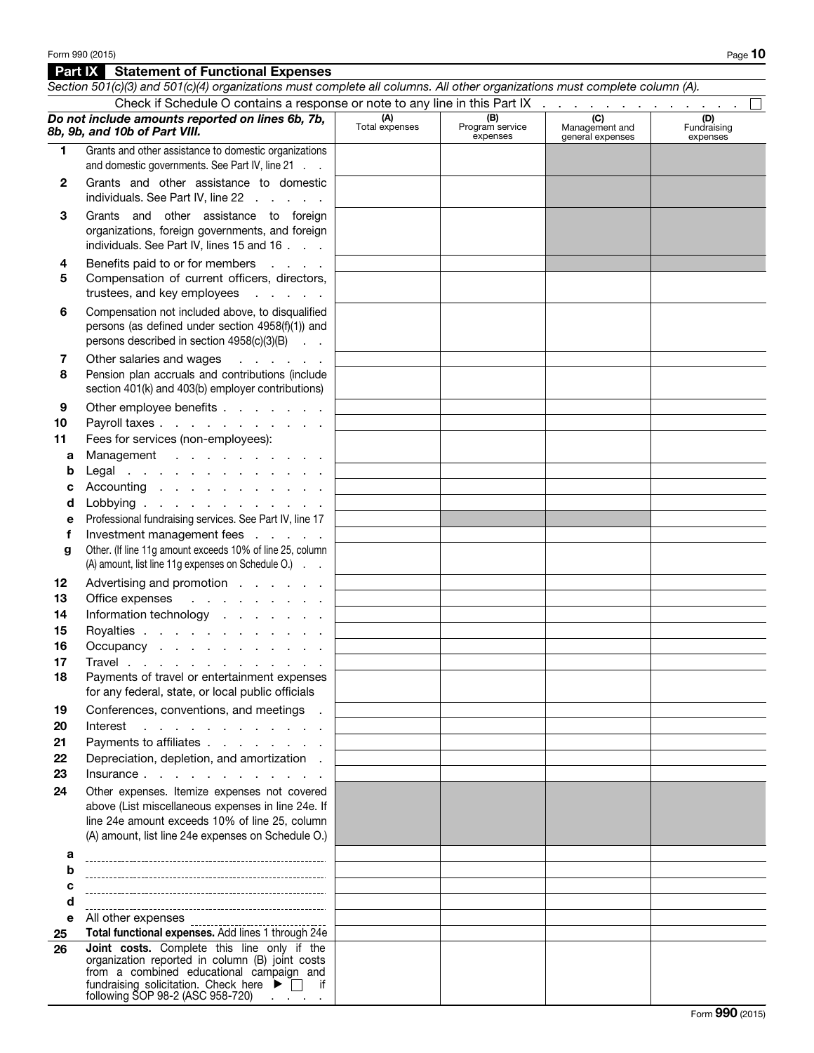## **Part IX** Statement of Functional Expenses

from a combined educational campaign and fundraising solicitation. Check here  $\blacktriangleright \Box$  if following SOP 98-2 (ASC 958-720) . . . .

| Check if Schedule O contains a response or note to any line in this Part IX<br>Do not include amounts reported on lines 6b, 7b,<br>(C)<br>(A)<br>Total expenses<br>(D)<br>(B)<br>Program service<br>Management and<br>Fundraising<br>8b, 9b, and 10b of Part VIII.<br>expenses<br>general expenses<br>expenses<br>1<br>Grants and other assistance to domestic organizations<br>and domestic governments. See Part IV, line 21<br>Grants and other assistance to domestic<br>2<br>individuals. See Part IV, line 22<br>Grants and other assistance to foreign<br>3<br>organizations, foreign governments, and foreign<br>individuals. See Part IV, lines 15 and 16<br>Benefits paid to or for members<br>$\Delta \sim 10^{11}$ and $\Delta \sim 10^{11}$<br>4<br>Compensation of current officers, directors,<br>5<br>trustees, and key employees<br>Compensation not included above, to disqualified<br>6<br>persons (as defined under section 4958(f)(1)) and<br>persons described in section 4958(c)(3)(B)<br>Other salaries and wages<br>7<br>and a state of the state<br>Pension plan accruals and contributions (include<br>8<br>section 401(k) and 403(b) employer contributions)<br>Other employee benefits<br>9<br>Payroll taxes<br>10<br>Fees for services (non-employees):<br>11<br>Management<br>а<br>Legal<br>b<br>Accounting<br>с<br>Lobbying<br>d<br>Professional fundraising services. See Part IV, line 17<br>е<br>Investment management fees<br>f<br>Other. (If line 11g amount exceeds 10% of line 25, column<br>g<br>(A) amount, list line 11g expenses on Schedule O.)<br>Advertising and promotion<br>12 <sub>2</sub><br>13<br>Office expenses<br>and the contract of the contract of<br>Information technology<br>14<br>Royalties<br>15<br>16<br>Occupancy<br>Travel<br>17<br>18<br>Payments of travel or entertainment expenses<br>for any federal, state, or local public officials<br>Conferences, conventions, and meetings .<br>19<br>20<br>Interest<br>and the company of the company of the<br>Payments to affiliates<br>21<br>22<br>Depreciation, depletion, and amortization.<br>23<br>Insurance<br>Other expenses. Itemize expenses not covered<br>24<br>above (List miscellaneous expenses in line 24e. If<br>line 24e amount exceeds 10% of line 25, column<br>(A) amount, list line 24e expenses on Schedule O.)<br>а<br>b<br>c<br>d<br>All other expenses<br>e |    | Section 501(c)(3) and 501(c)(4) organizations must complete all columns. All other organizations must complete column (A). |  |  |
|-----------------------------------------------------------------------------------------------------------------------------------------------------------------------------------------------------------------------------------------------------------------------------------------------------------------------------------------------------------------------------------------------------------------------------------------------------------------------------------------------------------------------------------------------------------------------------------------------------------------------------------------------------------------------------------------------------------------------------------------------------------------------------------------------------------------------------------------------------------------------------------------------------------------------------------------------------------------------------------------------------------------------------------------------------------------------------------------------------------------------------------------------------------------------------------------------------------------------------------------------------------------------------------------------------------------------------------------------------------------------------------------------------------------------------------------------------------------------------------------------------------------------------------------------------------------------------------------------------------------------------------------------------------------------------------------------------------------------------------------------------------------------------------------------------------------------------------------------------------------------------------------------------------------------------------------------------------------------------------------------------------------------------------------------------------------------------------------------------------------------------------------------------------------------------------------------------------------------------------------------------------------------------------------------------------------------------------------------------------------------------------------------------|----|----------------------------------------------------------------------------------------------------------------------------|--|--|
|                                                                                                                                                                                                                                                                                                                                                                                                                                                                                                                                                                                                                                                                                                                                                                                                                                                                                                                                                                                                                                                                                                                                                                                                                                                                                                                                                                                                                                                                                                                                                                                                                                                                                                                                                                                                                                                                                                                                                                                                                                                                                                                                                                                                                                                                                                                                                                                                     |    |                                                                                                                            |  |  |
|                                                                                                                                                                                                                                                                                                                                                                                                                                                                                                                                                                                                                                                                                                                                                                                                                                                                                                                                                                                                                                                                                                                                                                                                                                                                                                                                                                                                                                                                                                                                                                                                                                                                                                                                                                                                                                                                                                                                                                                                                                                                                                                                                                                                                                                                                                                                                                                                     |    |                                                                                                                            |  |  |
|                                                                                                                                                                                                                                                                                                                                                                                                                                                                                                                                                                                                                                                                                                                                                                                                                                                                                                                                                                                                                                                                                                                                                                                                                                                                                                                                                                                                                                                                                                                                                                                                                                                                                                                                                                                                                                                                                                                                                                                                                                                                                                                                                                                                                                                                                                                                                                                                     |    |                                                                                                                            |  |  |
|                                                                                                                                                                                                                                                                                                                                                                                                                                                                                                                                                                                                                                                                                                                                                                                                                                                                                                                                                                                                                                                                                                                                                                                                                                                                                                                                                                                                                                                                                                                                                                                                                                                                                                                                                                                                                                                                                                                                                                                                                                                                                                                                                                                                                                                                                                                                                                                                     |    |                                                                                                                            |  |  |
|                                                                                                                                                                                                                                                                                                                                                                                                                                                                                                                                                                                                                                                                                                                                                                                                                                                                                                                                                                                                                                                                                                                                                                                                                                                                                                                                                                                                                                                                                                                                                                                                                                                                                                                                                                                                                                                                                                                                                                                                                                                                                                                                                                                                                                                                                                                                                                                                     |    |                                                                                                                            |  |  |
|                                                                                                                                                                                                                                                                                                                                                                                                                                                                                                                                                                                                                                                                                                                                                                                                                                                                                                                                                                                                                                                                                                                                                                                                                                                                                                                                                                                                                                                                                                                                                                                                                                                                                                                                                                                                                                                                                                                                                                                                                                                                                                                                                                                                                                                                                                                                                                                                     |    |                                                                                                                            |  |  |
|                                                                                                                                                                                                                                                                                                                                                                                                                                                                                                                                                                                                                                                                                                                                                                                                                                                                                                                                                                                                                                                                                                                                                                                                                                                                                                                                                                                                                                                                                                                                                                                                                                                                                                                                                                                                                                                                                                                                                                                                                                                                                                                                                                                                                                                                                                                                                                                                     |    |                                                                                                                            |  |  |
|                                                                                                                                                                                                                                                                                                                                                                                                                                                                                                                                                                                                                                                                                                                                                                                                                                                                                                                                                                                                                                                                                                                                                                                                                                                                                                                                                                                                                                                                                                                                                                                                                                                                                                                                                                                                                                                                                                                                                                                                                                                                                                                                                                                                                                                                                                                                                                                                     |    |                                                                                                                            |  |  |
|                                                                                                                                                                                                                                                                                                                                                                                                                                                                                                                                                                                                                                                                                                                                                                                                                                                                                                                                                                                                                                                                                                                                                                                                                                                                                                                                                                                                                                                                                                                                                                                                                                                                                                                                                                                                                                                                                                                                                                                                                                                                                                                                                                                                                                                                                                                                                                                                     |    |                                                                                                                            |  |  |
|                                                                                                                                                                                                                                                                                                                                                                                                                                                                                                                                                                                                                                                                                                                                                                                                                                                                                                                                                                                                                                                                                                                                                                                                                                                                                                                                                                                                                                                                                                                                                                                                                                                                                                                                                                                                                                                                                                                                                                                                                                                                                                                                                                                                                                                                                                                                                                                                     |    |                                                                                                                            |  |  |
|                                                                                                                                                                                                                                                                                                                                                                                                                                                                                                                                                                                                                                                                                                                                                                                                                                                                                                                                                                                                                                                                                                                                                                                                                                                                                                                                                                                                                                                                                                                                                                                                                                                                                                                                                                                                                                                                                                                                                                                                                                                                                                                                                                                                                                                                                                                                                                                                     |    |                                                                                                                            |  |  |
|                                                                                                                                                                                                                                                                                                                                                                                                                                                                                                                                                                                                                                                                                                                                                                                                                                                                                                                                                                                                                                                                                                                                                                                                                                                                                                                                                                                                                                                                                                                                                                                                                                                                                                                                                                                                                                                                                                                                                                                                                                                                                                                                                                                                                                                                                                                                                                                                     |    |                                                                                                                            |  |  |
|                                                                                                                                                                                                                                                                                                                                                                                                                                                                                                                                                                                                                                                                                                                                                                                                                                                                                                                                                                                                                                                                                                                                                                                                                                                                                                                                                                                                                                                                                                                                                                                                                                                                                                                                                                                                                                                                                                                                                                                                                                                                                                                                                                                                                                                                                                                                                                                                     |    |                                                                                                                            |  |  |
|                                                                                                                                                                                                                                                                                                                                                                                                                                                                                                                                                                                                                                                                                                                                                                                                                                                                                                                                                                                                                                                                                                                                                                                                                                                                                                                                                                                                                                                                                                                                                                                                                                                                                                                                                                                                                                                                                                                                                                                                                                                                                                                                                                                                                                                                                                                                                                                                     |    |                                                                                                                            |  |  |
|                                                                                                                                                                                                                                                                                                                                                                                                                                                                                                                                                                                                                                                                                                                                                                                                                                                                                                                                                                                                                                                                                                                                                                                                                                                                                                                                                                                                                                                                                                                                                                                                                                                                                                                                                                                                                                                                                                                                                                                                                                                                                                                                                                                                                                                                                                                                                                                                     |    |                                                                                                                            |  |  |
|                                                                                                                                                                                                                                                                                                                                                                                                                                                                                                                                                                                                                                                                                                                                                                                                                                                                                                                                                                                                                                                                                                                                                                                                                                                                                                                                                                                                                                                                                                                                                                                                                                                                                                                                                                                                                                                                                                                                                                                                                                                                                                                                                                                                                                                                                                                                                                                                     |    |                                                                                                                            |  |  |
|                                                                                                                                                                                                                                                                                                                                                                                                                                                                                                                                                                                                                                                                                                                                                                                                                                                                                                                                                                                                                                                                                                                                                                                                                                                                                                                                                                                                                                                                                                                                                                                                                                                                                                                                                                                                                                                                                                                                                                                                                                                                                                                                                                                                                                                                                                                                                                                                     |    |                                                                                                                            |  |  |
|                                                                                                                                                                                                                                                                                                                                                                                                                                                                                                                                                                                                                                                                                                                                                                                                                                                                                                                                                                                                                                                                                                                                                                                                                                                                                                                                                                                                                                                                                                                                                                                                                                                                                                                                                                                                                                                                                                                                                                                                                                                                                                                                                                                                                                                                                                                                                                                                     |    |                                                                                                                            |  |  |
|                                                                                                                                                                                                                                                                                                                                                                                                                                                                                                                                                                                                                                                                                                                                                                                                                                                                                                                                                                                                                                                                                                                                                                                                                                                                                                                                                                                                                                                                                                                                                                                                                                                                                                                                                                                                                                                                                                                                                                                                                                                                                                                                                                                                                                                                                                                                                                                                     |    |                                                                                                                            |  |  |
| Joint costs. Complete this line only if the<br>26<br>organization reported in column (B) joint costs                                                                                                                                                                                                                                                                                                                                                                                                                                                                                                                                                                                                                                                                                                                                                                                                                                                                                                                                                                                                                                                                                                                                                                                                                                                                                                                                                                                                                                                                                                                                                                                                                                                                                                                                                                                                                                                                                                                                                                                                                                                                                                                                                                                                                                                                                                | 25 | Total functional expenses. Add lines 1 through 24e                                                                         |  |  |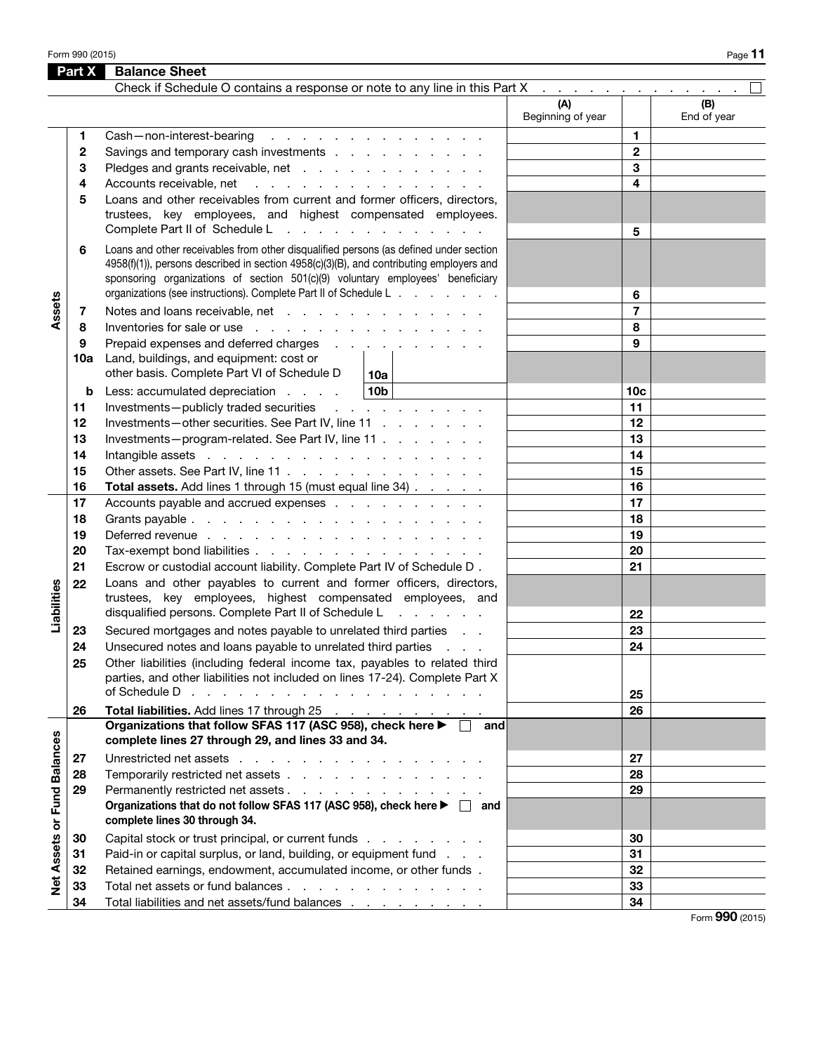Form 990 (2015) Page 11

|                             | Part X | <b>Balance Sheet</b>                                                                                                                                                                                                                                                                                                                    |                          |                 |                    |
|-----------------------------|--------|-----------------------------------------------------------------------------------------------------------------------------------------------------------------------------------------------------------------------------------------------------------------------------------------------------------------------------------------|--------------------------|-----------------|--------------------|
|                             |        | Check if Schedule O contains a response or note to any line in this Part X x x x x x x x x x x x x x x x x x                                                                                                                                                                                                                            |                          |                 |                    |
|                             |        |                                                                                                                                                                                                                                                                                                                                         | (A)<br>Beginning of year |                 | (B)<br>End of year |
|                             | 1.     | Cash-non-interest-bearing<br>the contract of the contract of the contract of the contract of the contract of the contract of the contract of                                                                                                                                                                                            |                          | 1               |                    |
|                             | 2      | Savings and temporary cash investments                                                                                                                                                                                                                                                                                                  |                          | $\mathbf{2}$    |                    |
|                             | 3      | Pledges and grants receivable, net                                                                                                                                                                                                                                                                                                      |                          | 3               |                    |
|                             | 4      | Accounts receivable, net<br>والمتعادل والمتعاد والمتعاد والمتعاد والمتعاد                                                                                                                                                                                                                                                               |                          | 4               |                    |
|                             | 5      | Loans and other receivables from current and former officers, directors,<br>trustees, key employees, and highest compensated employees.<br>Complete Part II of Schedule L<br>the contract of the contract of the contract of                                                                                                            |                          | 5               |                    |
|                             | 6      | Loans and other receivables from other disqualified persons (as defined under section<br>4958(f)(1)), persons described in section 4958(c)(3)(B), and contributing employers and<br>sponsoring organizations of section 501(c)(9) voluntary employees' beneficiary<br>organizations (see instructions). Complete Part II of Schedule L. |                          | 6               |                    |
| Assets                      | 7      | Notes and loans receivable, net                                                                                                                                                                                                                                                                                                         |                          | $\overline{7}$  |                    |
|                             | 8      | Inventories for sale or use                                                                                                                                                                                                                                                                                                             |                          | 8               |                    |
|                             | 9      | Prepaid expenses and deferred charges                                                                                                                                                                                                                                                                                                   |                          | 9               |                    |
|                             | 10a    | Land, buildings, and equipment: cost or<br>other basis. Complete Part VI of Schedule D<br>10a                                                                                                                                                                                                                                           |                          |                 |                    |
|                             | b      | 10 <sub>b</sub><br>Less: accumulated depreciation                                                                                                                                                                                                                                                                                       |                          | 10 <sub>c</sub> |                    |
|                             | 11     | Investments-publicly traded securities<br>and a straight and a straight                                                                                                                                                                                                                                                                 |                          | 11              |                    |
|                             | 12     | Investments-other securities. See Part IV, line 11                                                                                                                                                                                                                                                                                      |                          | 12              |                    |
|                             | 13     | Investments-program-related. See Part IV, line 11                                                                                                                                                                                                                                                                                       |                          | 13              |                    |
|                             | 14     | Intangible assets in the contract of the contract of the contract of the contract of the contract of the contract of the contract of the contract of the contract of the contract of the contract of the contract of the contr                                                                                                          |                          | 14              |                    |
|                             | 15     | Other assets. See Part IV, line 11                                                                                                                                                                                                                                                                                                      |                          | 15              |                    |
|                             | 16     | Total assets. Add lines 1 through 15 (must equal line 34)                                                                                                                                                                                                                                                                               |                          | 16              |                    |
|                             | 17     | Accounts payable and accrued expenses                                                                                                                                                                                                                                                                                                   |                          | 17              |                    |
|                             | 18     |                                                                                                                                                                                                                                                                                                                                         |                          | 18              |                    |
|                             | 19     | Deferred revenue                                                                                                                                                                                                                                                                                                                        |                          | 19              |                    |
|                             | 20     | Tax-exempt bond liabilities                                                                                                                                                                                                                                                                                                             |                          | 20              |                    |
|                             | 21     | Escrow or custodial account liability. Complete Part IV of Schedule D.                                                                                                                                                                                                                                                                  |                          | 21              |                    |
| Liabilities                 | 22     | Loans and other payables to current and former officers, directors,<br>trustees, key employees, highest compensated employees, and                                                                                                                                                                                                      |                          |                 |                    |
|                             |        | disqualified persons. Complete Part II of Schedule L                                                                                                                                                                                                                                                                                    |                          | 22              |                    |
|                             | 23     | Secured mortgages and notes payable to unrelated third parties                                                                                                                                                                                                                                                                          |                          | 23              |                    |
|                             | 24     | Unsecured notes and loans payable to unrelated third parties                                                                                                                                                                                                                                                                            |                          | 24              |                    |
|                             | 25     | Other liabilities (including federal income tax, payables to related third<br>parties, and other liabilities not included on lines 17-24). Complete Part X<br>of Schedule D                                                                                                                                                             |                          |                 |                    |
|                             |        | and the contract of the contract of the contract of the contract of                                                                                                                                                                                                                                                                     |                          | 25              |                    |
|                             | 26     | Total liabilities. Add lines 17 through 25<br>Organizations that follow SFAS 117 (ASC 958), check here ▶ □ and                                                                                                                                                                                                                          |                          | 26              |                    |
|                             |        | complete lines 27 through 29, and lines 33 and 34.                                                                                                                                                                                                                                                                                      |                          |                 |                    |
|                             | 27     | Unrestricted net assets                                                                                                                                                                                                                                                                                                                 |                          | 27              |                    |
|                             | 28     | Temporarily restricted net assets                                                                                                                                                                                                                                                                                                       |                          | 28              |                    |
|                             | 29     | Permanently restricted net assets                                                                                                                                                                                                                                                                                                       |                          | 29              |                    |
| Net Assets or Fund Balances |        | Organizations that do not follow SFAS 117 (ASC 958), check here ▶ □ and<br>complete lines 30 through 34.                                                                                                                                                                                                                                |                          |                 |                    |
|                             | 30     | Capital stock or trust principal, or current funds                                                                                                                                                                                                                                                                                      |                          | 30              |                    |
|                             | 31     | Paid-in or capital surplus, or land, building, or equipment fund                                                                                                                                                                                                                                                                        |                          | 31              |                    |
|                             | 32     | Retained earnings, endowment, accumulated income, or other funds.                                                                                                                                                                                                                                                                       |                          | 32              |                    |
|                             | 33     | Total net assets or fund balances                                                                                                                                                                                                                                                                                                       |                          | 33              |                    |
|                             | 34     | Total liabilities and net assets/fund balances                                                                                                                                                                                                                                                                                          |                          | 34              |                    |

Form 990 (2015)